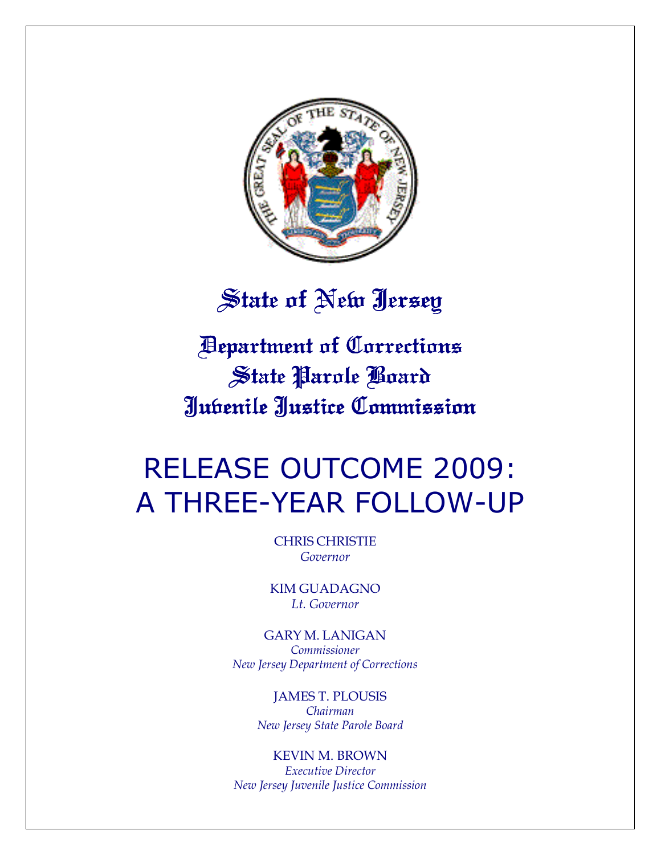

# State of New Jersey

Department of Corrections Department Corrections State Parole Board Juvenile Justice Commission Justice Commission

# RELEASE OUTCOME 2009: A THREE-YEAR FOLLOW-UP

CHRIS CHRISTIE Governor

KIM GUADAGNO Lt. Governor

GARY M. LANIGAN Commissioner New Jersey Department of Corrections

> JAMES T. PLOUSIS Chairman New Jersey State Parole Board

KEVIN M. BROWN Executive Director New Jersey Juvenile Justice Commission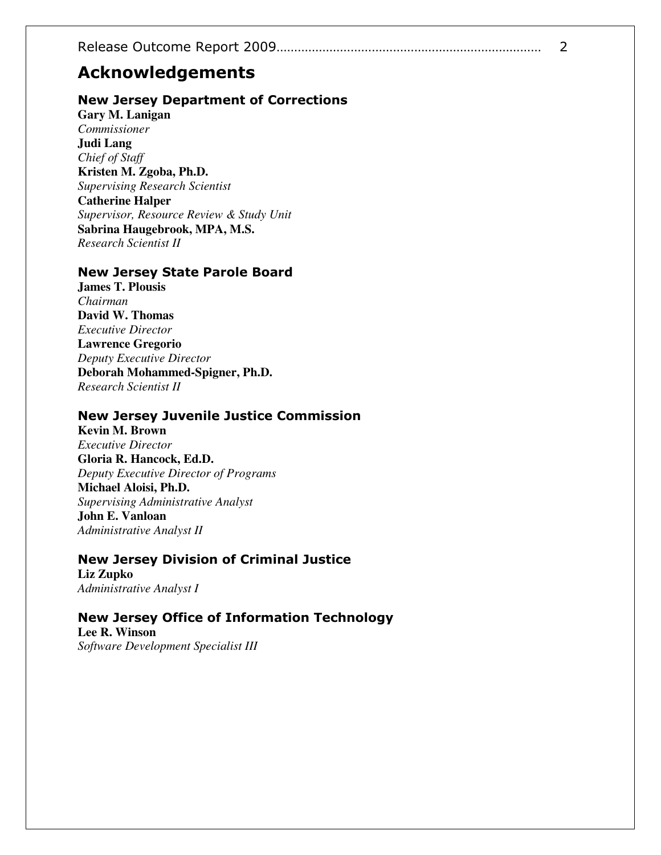# Acknowledgements

### New Jersey Department of Corrections

**Gary M. Lanigan**  *Commissioner*  **Judi Lang**  *Chief of Staff*  **Kristen M. Zgoba, Ph.D.**  *Supervising Research Scientist*  **Catherine Halper**  *Supervisor, Resource Review & Study Unit* **Sabrina Haugebrook, MPA, M.S.**  *Research Scientist II* 

#### New Jersey State Parole Board

**James T. Plousis**  *Chairman*  **David W. Thomas**  *Executive Director*  **Lawrence Gregorio**  *Deputy Executive Director*  **Deborah Mohammed-Spigner, Ph.D.**  *Research Scientist II* 

### New Jersey Juvenile Justice Commission

**Kevin M. Brown**  *Executive Director*  **Gloria R. Hancock, Ed.D.**  *Deputy Executive Director of Programs*  **Michael Aloisi, Ph.D.**  *Supervising Administrative Analyst*  **John E. Vanloan**  *Administrative Analyst II* 

# New Jersey Division of Criminal Justice

**Liz Zupko**  *Administrative Analyst I* 

# New Jersey Office of Information Technology

**Lee R. Winson**  *Software Development Specialist III*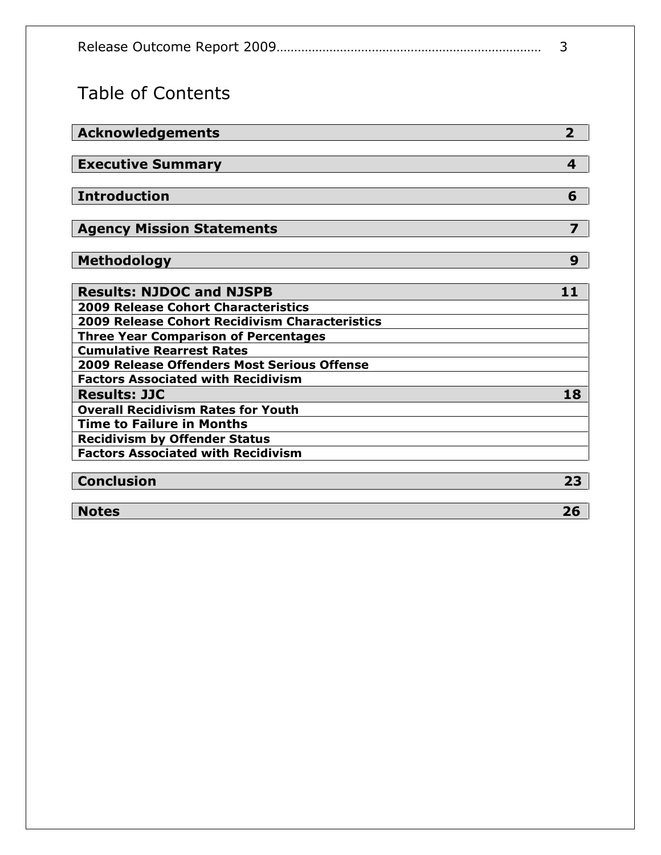# Table of Contents

| Acknowledgements                               | $\overline{2}$          |
|------------------------------------------------|-------------------------|
|                                                |                         |
| <b>Executive Summary</b>                       | $\overline{\mathbf{4}}$ |
|                                                |                         |
| Introduction                                   | 6                       |
| <b>Agency Mission Statements</b>               | $\overline{z}$          |
|                                                |                         |
| <b>Methodology</b>                             | 9                       |
|                                                |                         |
| <b>Results: NJDOC and NJSPB</b>                | 11                      |
| <b>2009 Release Cohort Characteristics</b>     |                         |
| 2009 Release Cohort Recidivism Characteristics |                         |
| <b>Three Year Comparison of Percentages</b>    |                         |
| <b>Cumulative Rearrest Rates</b>               |                         |
| 2009 Release Offenders Most Serious Offense    |                         |
| <b>Factors Associated with Recidivism</b>      |                         |
| <b>Results: JJC</b>                            | 18                      |
| <b>Overall Recidivism Rates for Youth</b>      |                         |
| <b>Time to Failure in Months</b>               |                         |
| <b>Recidivism by Offender Status</b>           |                         |
| <b>Factors Associated with Recidivism</b>      |                         |
|                                                |                         |
| <b>Conclusion</b>                              | 23                      |
|                                                |                         |
| <b>Notes</b>                                   | 26                      |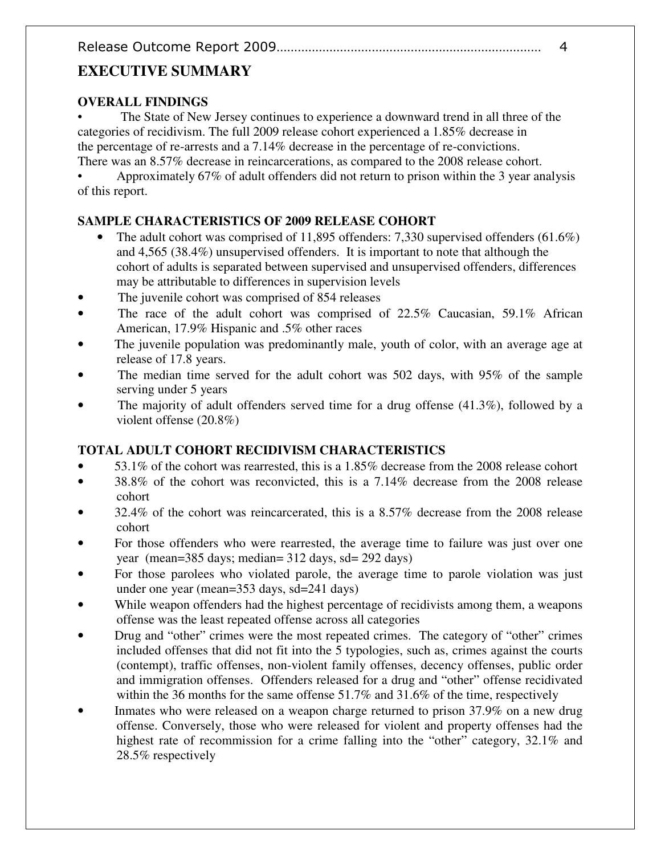# **EXECUTIVE SUMMARY**

# **OVERALL FINDINGS**

The State of New Jersey continues to experience a downward trend in all three of the categories of recidivism. The full 2009 release cohort experienced a 1.85% decrease in the percentage of re-arrests and a 7.14% decrease in the percentage of re-convictions. There was an 8.57% decrease in reincarcerations, as compared to the 2008 release cohort.

• Approximately 67% of adult offenders did not return to prison within the 3 year analysis of this report.

# **SAMPLE CHARACTERISTICS OF 2009 RELEASE COHORT**

- The adult cohort was comprised of 11,895 offenders: 7,330 supervised offenders  $(61.6\%)$ and 4,565 (38.4%) unsupervised offenders. It is important to note that although the cohort of adults is separated between supervised and unsupervised offenders, differences may be attributable to differences in supervision levels
- The juvenile cohort was comprised of 854 releases
- The race of the adult cohort was comprised of 22.5% Caucasian, 59.1% African American, 17.9% Hispanic and .5% other races
- The juvenile population was predominantly male, youth of color, with an average age at release of 17.8 years.
- The median time served for the adult cohort was 502 days, with 95% of the sample serving under 5 years
- The majority of adult offenders served time for a drug offense  $(41.3\%)$ , followed by a violent offense (20.8%)

# **TOTAL ADULT COHORT RECIDIVISM CHARACTERISTICS**

- 53.1% of the cohort was rearrested, this is a 1.85% decrease from the 2008 release cohort
- 38.8% of the cohort was reconvicted, this is a 7.14% decrease from the 2008 release cohort
- 32.4% of the cohort was reincarcerated, this is a 8.57% decrease from the 2008 release cohort
- For those offenders who were rearrested, the average time to failure was just over one year (mean=385 days; median= 312 days, sd= 292 days)
- For those parolees who violated parole, the average time to parole violation was just under one year (mean=353 days, sd=241 days)
- While weapon offenders had the highest percentage of recidivists among them, a weapons offense was the least repeated offense across all categories
- Drug and "other" crimes were the most repeated crimes. The category of "other" crimes included offenses that did not fit into the 5 typologies, such as, crimes against the courts (contempt), traffic offenses, non-violent family offenses, decency offenses, public order and immigration offenses. Offenders released for a drug and "other" offense recidivated within the 36 months for the same offense 51.7% and 31.6% of the time, respectively
- Inmates who were released on a weapon charge returned to prison 37.9% on a new drug offense. Conversely, those who were released for violent and property offenses had the highest rate of recommission for a crime falling into the "other" category, 32.1% and 28.5% respectively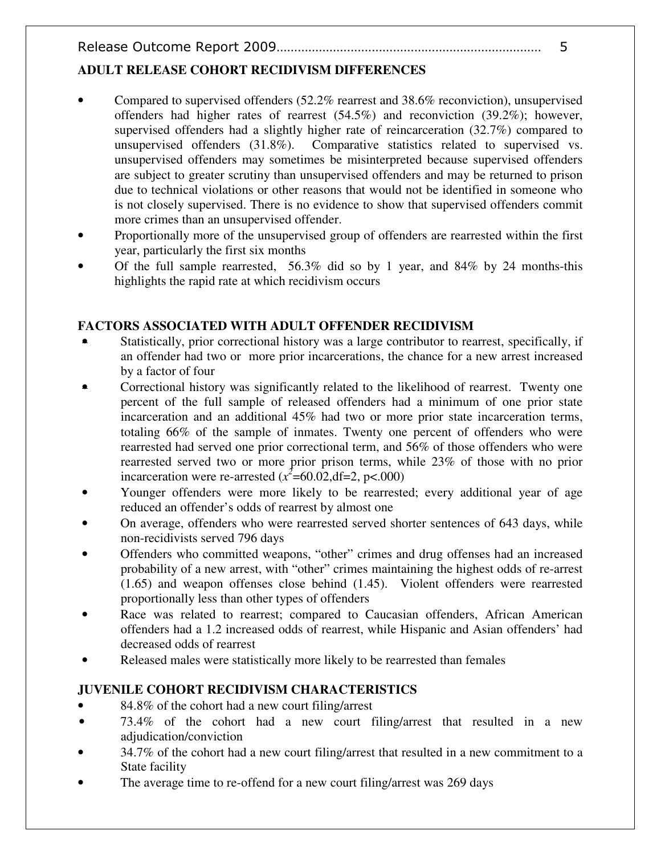# **ADULT RELEASE COHORT RECIDIVISM DIFFERENCES**

- Compared to supervised offenders (52.2% rearrest and 38.6% reconviction), unsupervised offenders had higher rates of rearrest (54.5%) and reconviction (39.2%); however, supervised offenders had a slightly higher rate of reincarceration (32.7%) compared to unsupervised offenders (31.8%). Comparative statistics related to supervised vs. unsupervised offenders may sometimes be misinterpreted because supervised offenders are subject to greater scrutiny than unsupervised offenders and may be returned to prison due to technical violations or other reasons that would not be identified in someone who is not closely supervised. There is no evidence to show that supervised offenders commit more crimes than an unsupervised offender.
- Proportionally more of the unsupervised group of offenders are rearrested within the first year, particularly the first six months
- Of the full sample rearrested,  $56.3\%$  did so by 1 year, and  $84\%$  by 24 months-this highlights the rapid rate at which recidivism occurs

## **FACTORS ASSOCIATED WITH ADULT OFFENDER RECIDIVISM**

- Statistically, prior correctional history was a large contributor to rearrest, specifically, if an offender had two or more prior incarcerations, the chance for a new arrest increased by a factor of four
- Correctional history was significantly related to the likelihood of rearrest. Twenty one percent of the full sample of released offenders had a minimum of one prior state incarceration and an additional 45% had two or more prior state incarceration terms, totaling 66% of the sample of inmates. Twenty one percent of offenders who were rearrested had served one prior correctional term, and 56% of those offenders who were rearrested served two or more prior prison terms, while 23% of those with no prior incarceration were re-arrested  $(x^2=60.02, df=2, p<.000)$
- Younger offenders were more likely to be rearrested; every additional year of age reduced an offender's odds of rearrest by almost one
- On average, offenders who were rearrested served shorter sentences of 643 days, while non-recidivists served 796 days
- Offenders who committed weapons, "other" crimes and drug offenses had an increased probability of a new arrest, with "other" crimes maintaining the highest odds of re-arrest (1.65) and weapon offenses close behind (1.45). Violent offenders were rearrested proportionally less than other types of offenders
- Race was related to rearrest; compared to Caucasian offenders, African American offenders had a 1.2 increased odds of rearrest, while Hispanic and Asian offenders' had decreased odds of rearrest
- Released males were statistically more likely to be rearrested than females

# **JUVENILE COHORT RECIDIVISM CHARACTERISTICS**

- 84.8% of the cohort had a new court filing/arrest
- 73.4% of the cohort had a new court filing/arrest that resulted in a new adjudication/conviction
- 34.7% of the cohort had a new court filing/arrest that resulted in a new commitment to a State facility
- The average time to re-offend for a new court filing/arrest was 269 days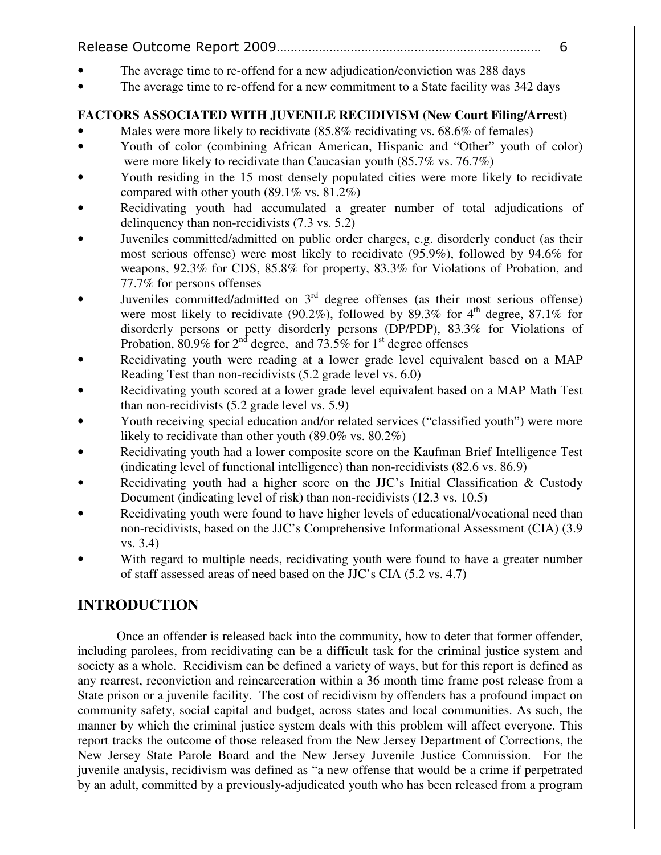- The average time to re-offend for a new adjudication/conviction was 288 days
- The average time to re-offend for a new commitment to a State facility was 342 days

# **FACTORS ASSOCIATED WITH JUVENILE RECIDIVISM (New Court Filing/Arrest)**

- Males were more likely to recidivate (85.8% recidivating vs. 68.6% of females)
- Youth of color (combining African American, Hispanic and "Other" youth of color) were more likely to recidivate than Caucasian youth (85.7% vs. 76.7%)
- Youth residing in the 15 most densely populated cities were more likely to recidivate compared with other youth  $(89.1\% \text{ vs. } 81.2\%)$
- Recidivating youth had accumulated a greater number of total adjudications of delinquency than non-recidivists (7.3 vs. 5.2)
- Juveniles committed/admitted on public order charges, e.g. disorderly conduct (as their most serious offense) were most likely to recidivate (95.9%), followed by 94.6% for weapons, 92.3% for CDS, 85.8% for property, 83.3% for Violations of Probation, and 77.7% for persons offenses
- Juveniles committed/admitted on 3<sup>rd</sup> degree offenses (as their most serious offense) were most likely to recidivate (90.2%), followed by 89.3% for  $4<sup>th</sup>$  degree, 87.1% for disorderly persons or petty disorderly persons (DP/PDP), 83.3% for Violations of Probation, 80.9% for  $2^{nd}$  degree, and 73.5% for  $1^{st}$  degree offenses
- Recidivating youth were reading at a lower grade level equivalent based on a MAP Reading Test than non-recidivists (5.2 grade level vs. 6.0)
- Recidivating youth scored at a lower grade level equivalent based on a MAP Math Test than non-recidivists (5.2 grade level vs. 5.9)
- Youth receiving special education and/or related services ("classified youth") were more likely to recidivate than other youth (89.0% vs. 80.2%)
- Recidivating youth had a lower composite score on the Kaufman Brief Intelligence Test (indicating level of functional intelligence) than non-recidivists (82.6 vs. 86.9)
- Recidivating youth had a higher score on the JJC's Initial Classification & Custody Document (indicating level of risk) than non-recidivists (12.3 vs. 10.5)
- Recidivating youth were found to have higher levels of educational/vocational need than non-recidivists, based on the JJC's Comprehensive Informational Assessment (CIA) (3.9 vs. 3.4)
- With regard to multiple needs, recidivating youth were found to have a greater number of staff assessed areas of need based on the JJC's CIA (5.2 vs. 4.7)

# **INTRODUCTION**

Once an offender is released back into the community, how to deter that former offender, including parolees, from recidivating can be a difficult task for the criminal justice system and society as a whole. Recidivism can be defined a variety of ways, but for this report is defined as any rearrest, reconviction and reincarceration within a 36 month time frame post release from a State prison or a juvenile facility. The cost of recidivism by offenders has a profound impact on community safety, social capital and budget, across states and local communities. As such, the manner by which the criminal justice system deals with this problem will affect everyone. This report tracks the outcome of those released from the New Jersey Department of Corrections, the New Jersey State Parole Board and the New Jersey Juvenile Justice Commission. For the juvenile analysis, recidivism was defined as "a new offense that would be a crime if perpetrated by an adult, committed by a previously-adjudicated youth who has been released from a program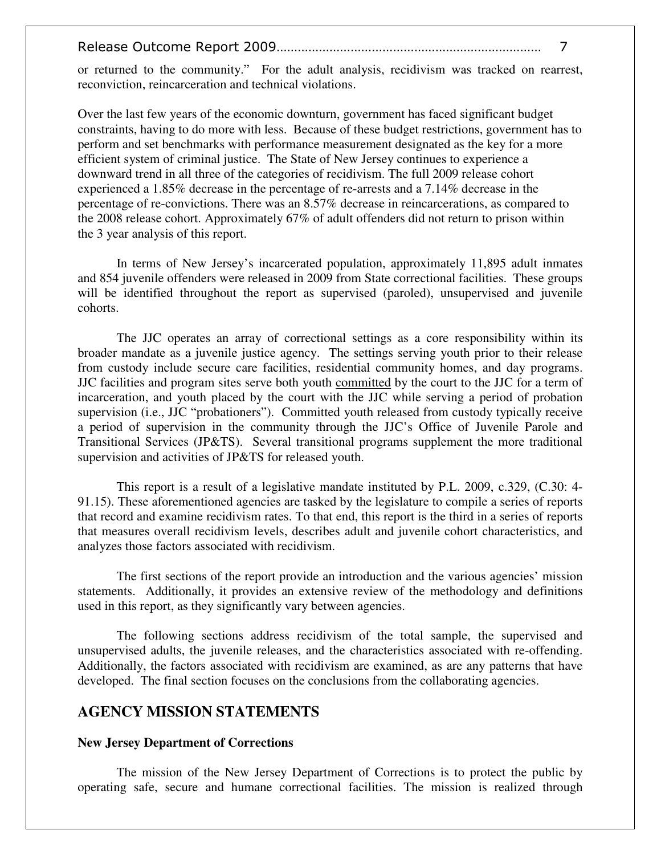or returned to the community." For the adult analysis, recidivism was tracked on rearrest, reconviction, reincarceration and technical violations.

Over the last few years of the economic downturn, government has faced significant budget constraints, having to do more with less. Because of these budget restrictions, government has to perform and set benchmarks with performance measurement designated as the key for a more efficient system of criminal justice. The State of New Jersey continues to experience a downward trend in all three of the categories of recidivism. The full 2009 release cohort experienced a 1.85% decrease in the percentage of re-arrests and a 7.14% decrease in the percentage of re-convictions. There was an 8.57% decrease in reincarcerations, as compared to the 2008 release cohort. Approximately 67% of adult offenders did not return to prison within the 3 year analysis of this report.

In terms of New Jersey's incarcerated population, approximately 11,895 adult inmates and 854 juvenile offenders were released in 2009 from State correctional facilities. These groups will be identified throughout the report as supervised (paroled), unsupervised and juvenile cohorts.

 The JJC operates an array of correctional settings as a core responsibility within its broader mandate as a juvenile justice agency. The settings serving youth prior to their release from custody include secure care facilities, residential community homes, and day programs. JJC facilities and program sites serve both youth committed by the court to the JJC for a term of incarceration, and youth placed by the court with the JJC while serving a period of probation supervision (i.e., JJC "probationers"). Committed youth released from custody typically receive a period of supervision in the community through the JJC's Office of Juvenile Parole and Transitional Services (JP&TS). Several transitional programs supplement the more traditional supervision and activities of JP&TS for released youth.

This report is a result of a legislative mandate instituted by P.L. 2009, c.329, (C.30: 4- 91.15). These aforementioned agencies are tasked by the legislature to compile a series of reports that record and examine recidivism rates. To that end, this report is the third in a series of reports that measures overall recidivism levels, describes adult and juvenile cohort characteristics, and analyzes those factors associated with recidivism.

The first sections of the report provide an introduction and the various agencies' mission statements. Additionally, it provides an extensive review of the methodology and definitions used in this report, as they significantly vary between agencies.

The following sections address recidivism of the total sample, the supervised and unsupervised adults, the juvenile releases, and the characteristics associated with re-offending. Additionally, the factors associated with recidivism are examined, as are any patterns that have developed. The final section focuses on the conclusions from the collaborating agencies.

## **AGENCY MISSION STATEMENTS**

#### **New Jersey Department of Corrections**

 The mission of the New Jersey Department of Corrections is to protect the public by operating safe, secure and humane correctional facilities. The mission is realized through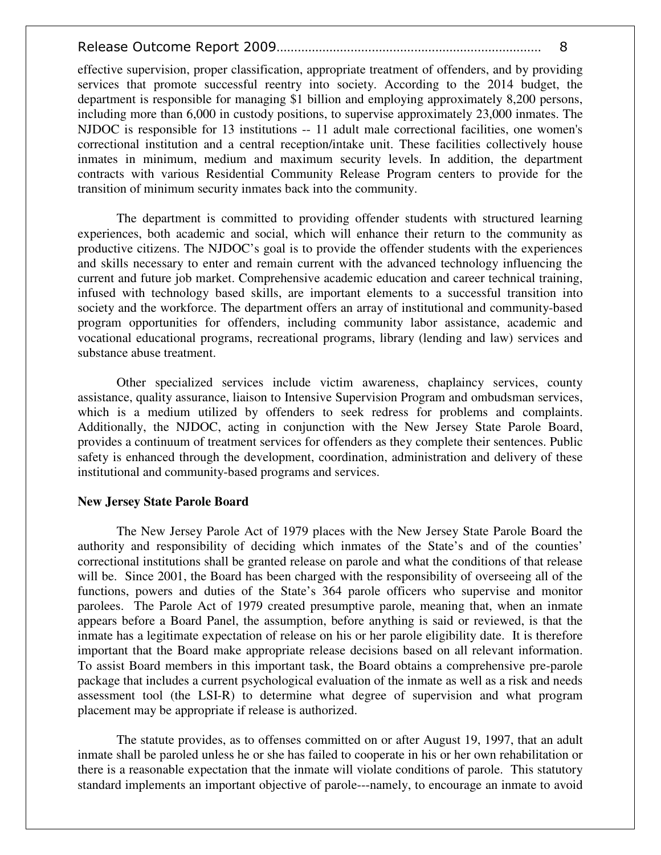effective supervision, proper classification, appropriate treatment of offenders, and by providing services that promote successful reentry into society. According to the 2014 budget, the department is responsible for managing \$1 billion and employing approximately 8,200 persons, including more than 6,000 in custody positions, to supervise approximately 23,000 inmates. The NJDOC is responsible for 13 institutions -- 11 adult male correctional facilities, one women's correctional institution and a central reception/intake unit. These facilities collectively house inmates in minimum, medium and maximum security levels. In addition, the department contracts with various Residential Community Release Program centers to provide for the transition of minimum security inmates back into the community.

 The department is committed to providing offender students with structured learning experiences, both academic and social, which will enhance their return to the community as productive citizens. The NJDOC's goal is to provide the offender students with the experiences and skills necessary to enter and remain current with the advanced technology influencing the current and future job market. Comprehensive academic education and career technical training, infused with technology based skills, are important elements to a successful transition into society and the workforce. The department offers an array of institutional and community-based program opportunities for offenders, including community labor assistance, academic and vocational educational programs, recreational programs, library (lending and law) services and substance abuse treatment.

 Other specialized services include victim awareness, chaplaincy services, county assistance, quality assurance, liaison to Intensive Supervision Program and ombudsman services, which is a medium utilized by offenders to seek redress for problems and complaints. Additionally, the NJDOC, acting in conjunction with the New Jersey State Parole Board, provides a continuum of treatment services for offenders as they complete their sentences. Public safety is enhanced through the development, coordination, administration and delivery of these institutional and community-based programs and services.

#### **New Jersey State Parole Board**

The New Jersey Parole Act of 1979 places with the New Jersey State Parole Board the authority and responsibility of deciding which inmates of the State's and of the counties' correctional institutions shall be granted release on parole and what the conditions of that release will be. Since 2001, the Board has been charged with the responsibility of overseeing all of the functions, powers and duties of the State's 364 parole officers who supervise and monitor parolees. The Parole Act of 1979 created presumptive parole, meaning that, when an inmate appears before a Board Panel, the assumption, before anything is said or reviewed, is that the inmate has a legitimate expectation of release on his or her parole eligibility date. It is therefore important that the Board make appropriate release decisions based on all relevant information. To assist Board members in this important task, the Board obtains a comprehensive pre-parole package that includes a current psychological evaluation of the inmate as well as a risk and needs assessment tool (the LSI-R) to determine what degree of supervision and what program placement may be appropriate if release is authorized.

The statute provides, as to offenses committed on or after August 19, 1997, that an adult inmate shall be paroled unless he or she has failed to cooperate in his or her own rehabilitation or there is a reasonable expectation that the inmate will violate conditions of parole. This statutory standard implements an important objective of parole---namely, to encourage an inmate to avoid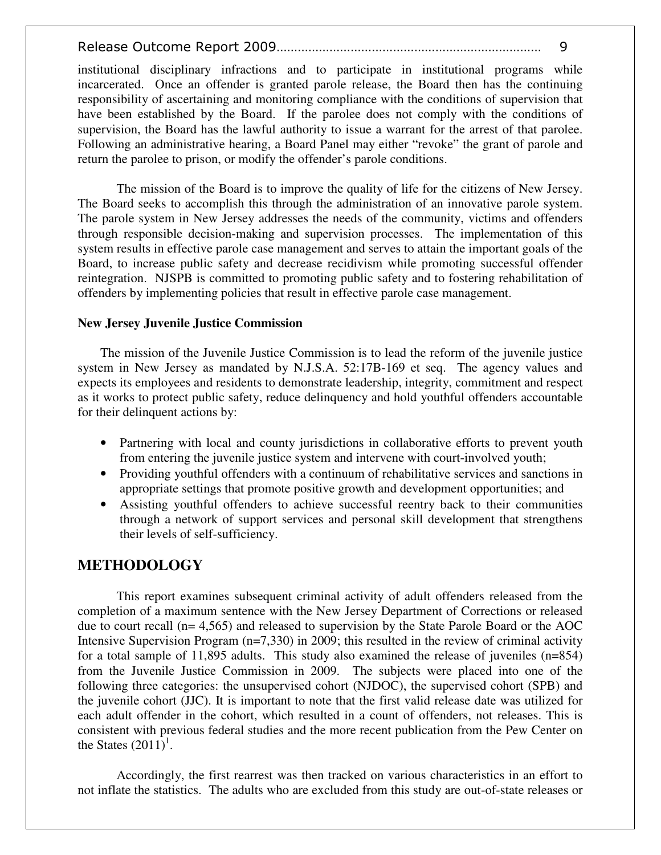institutional disciplinary infractions and to participate in institutional programs while incarcerated. Once an offender is granted parole release, the Board then has the continuing responsibility of ascertaining and monitoring compliance with the conditions of supervision that have been established by the Board. If the parolee does not comply with the conditions of supervision, the Board has the lawful authority to issue a warrant for the arrest of that parolee. Following an administrative hearing, a Board Panel may either "revoke" the grant of parole and return the parolee to prison, or modify the offender's parole conditions.

The mission of the Board is to improve the quality of life for the citizens of New Jersey. The Board seeks to accomplish this through the administration of an innovative parole system. The parole system in New Jersey addresses the needs of the community, victims and offenders through responsible decision-making and supervision processes. The implementation of this system results in effective parole case management and serves to attain the important goals of the Board, to increase public safety and decrease recidivism while promoting successful offender reintegration. NJSPB is committed to promoting public safety and to fostering rehabilitation of offenders by implementing policies that result in effective parole case management.

#### **New Jersey Juvenile Justice Commission**

The mission of the Juvenile Justice Commission is to lead the reform of the juvenile justice system in New Jersey as mandated by N.J.S.A. 52:17B-169 et seq. The agency values and expects its employees and residents to demonstrate leadership, integrity, commitment and respect as it works to protect public safety, reduce delinquency and hold youthful offenders accountable for their delinquent actions by:

- Partnering with local and county jurisdictions in collaborative efforts to prevent youth from entering the juvenile justice system and intervene with court-involved youth;
- Providing youthful offenders with a continuum of rehabilitative services and sanctions in appropriate settings that promote positive growth and development opportunities; and
- Assisting youthful offenders to achieve successful reentry back to their communities through a network of support services and personal skill development that strengthens their levels of self-sufficiency.

# **METHODOLOGY**

This report examines subsequent criminal activity of adult offenders released from the completion of a maximum sentence with the New Jersey Department of Corrections or released due to court recall (n= 4,565) and released to supervision by the State Parole Board or the AOC Intensive Supervision Program (n=7,330) in 2009; this resulted in the review of criminal activity for a total sample of 11,895 adults. This study also examined the release of juveniles (n=854) from the Juvenile Justice Commission in 2009. The subjects were placed into one of the following three categories: the unsupervised cohort (NJDOC), the supervised cohort (SPB) and the juvenile cohort (JJC). It is important to note that the first valid release date was utilized for each adult offender in the cohort, which resulted in a count of offenders, not releases. This is consistent with previous federal studies and the more recent publication from the Pew Center on the States  $(2011)^1$ .

Accordingly, the first rearrest was then tracked on various characteristics in an effort to not inflate the statistics. The adults who are excluded from this study are out-of-state releases or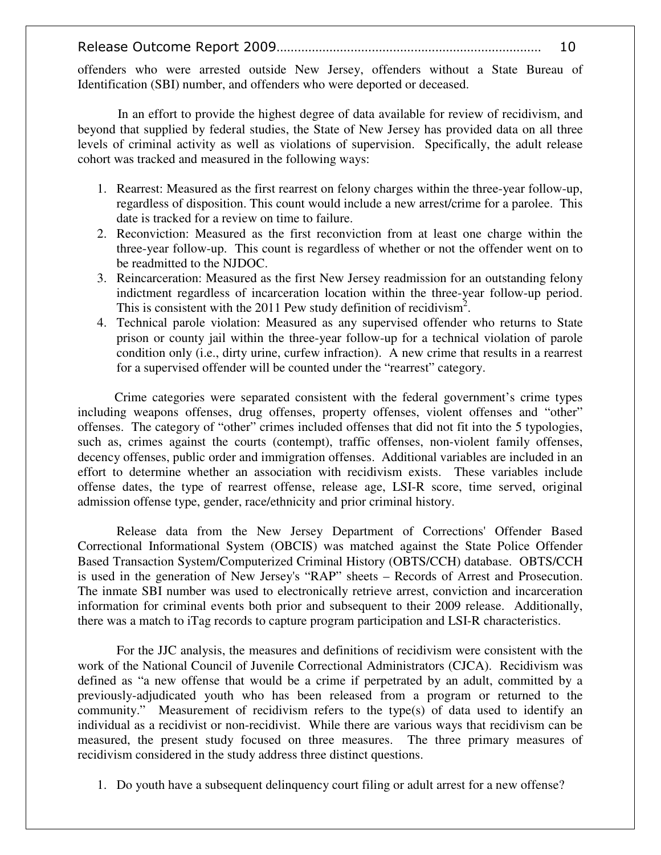offenders who were arrested outside New Jersey, offenders without a State Bureau of Identification (SBI) number, and offenders who were deported or deceased.

In an effort to provide the highest degree of data available for review of recidivism, and beyond that supplied by federal studies, the State of New Jersey has provided data on all three levels of criminal activity as well as violations of supervision. Specifically, the adult release cohort was tracked and measured in the following ways:

- 1. Rearrest: Measured as the first rearrest on felony charges within the three-year follow-up, regardless of disposition. This count would include a new arrest/crime for a parolee. This date is tracked for a review on time to failure.
- 2. Reconviction: Measured as the first reconviction from at least one charge within the three-year follow-up. This count is regardless of whether or not the offender went on to be readmitted to the NJDOC.
- 3. Reincarceration: Measured as the first New Jersey readmission for an outstanding felony indictment regardless of incarceration location within the three-year follow-up period. This is consistent with the 2011 Pew study definition of recidivism<sup>2</sup>.
- 4. Technical parole violation: Measured as any supervised offender who returns to State prison or county jail within the three-year follow-up for a technical violation of parole condition only (i.e., dirty urine, curfew infraction). A new crime that results in a rearrest for a supervised offender will be counted under the "rearrest" category.

Crime categories were separated consistent with the federal government's crime types including weapons offenses, drug offenses, property offenses, violent offenses and "other" offenses. The category of "other" crimes included offenses that did not fit into the 5 typologies, such as, crimes against the courts (contempt), traffic offenses, non-violent family offenses, decency offenses, public order and immigration offenses. Additional variables are included in an effort to determine whether an association with recidivism exists. These variables include offense dates, the type of rearrest offense, release age, LSI-R score, time served, original admission offense type, gender, race/ethnicity and prior criminal history.

Release data from the New Jersey Department of Corrections' Offender Based Correctional Informational System (OBCIS) was matched against the State Police Offender Based Transaction System/Computerized Criminal History (OBTS/CCH) database. OBTS/CCH is used in the generation of New Jersey's "RAP" sheets – Records of Arrest and Prosecution. The inmate SBI number was used to electronically retrieve arrest, conviction and incarceration information for criminal events both prior and subsequent to their 2009 release. Additionally, there was a match to iTag records to capture program participation and LSI-R characteristics.

For the JJC analysis, the measures and definitions of recidivism were consistent with the work of the National Council of Juvenile Correctional Administrators (CJCA). Recidivism was defined as "a new offense that would be a crime if perpetrated by an adult, committed by a previously-adjudicated youth who has been released from a program or returned to the community." Measurement of recidivism refers to the type(s) of data used to identify an individual as a recidivist or non-recidivist. While there are various ways that recidivism can be measured, the present study focused on three measures. The three primary measures of recidivism considered in the study address three distinct questions.

1. Do youth have a subsequent delinquency court filing or adult arrest for a new offense?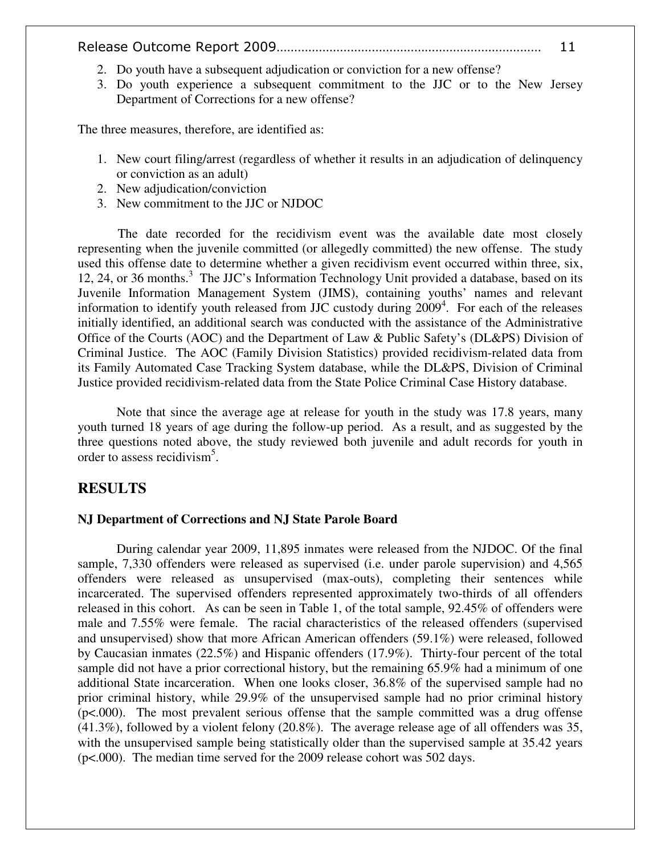- 2. Do youth have a subsequent adjudication or conviction for a new offense?
- 3. Do youth experience a subsequent commitment to the JJC or to the New Jersey Department of Corrections for a new offense?

The three measures, therefore, are identified as:

- 1. New court filing/arrest (regardless of whether it results in an adjudication of delinquency or conviction as an adult)
- 2. New adjudication/conviction
- 3. New commitment to the JJC or NJDOC

The date recorded for the recidivism event was the available date most closely representing when the juvenile committed (or allegedly committed) the new offense. The study used this offense date to determine whether a given recidivism event occurred within three, six, 12, 24, or 36 months.<sup>3</sup> The JJC's Information Technology Unit provided a database, based on its Juvenile Information Management System (JIMS), containing youths' names and relevant information to identify youth released from JJC custody during 2009<sup>4</sup>. For each of the releases initially identified, an additional search was conducted with the assistance of the Administrative Office of the Courts (AOC) and the Department of Law & Public Safety's (DL&PS) Division of Criminal Justice. The AOC (Family Division Statistics) provided recidivism-related data from its Family Automated Case Tracking System database, while the DL&PS, Division of Criminal Justice provided recidivism-related data from the State Police Criminal Case History database.

Note that since the average age at release for youth in the study was 17.8 years, many youth turned 18 years of age during the follow-up period. As a result, and as suggested by the three questions noted above, the study reviewed both juvenile and adult records for youth in order to assess recidivism<sup>5</sup>.

#### **RESULTS**

#### **NJ Department of Corrections and NJ State Parole Board**

During calendar year 2009, 11,895 inmates were released from the NJDOC. Of the final sample, 7,330 offenders were released as supervised (i.e. under parole supervision) and 4,565 offenders were released as unsupervised (max-outs), completing their sentences while incarcerated. The supervised offenders represented approximately two-thirds of all offenders released in this cohort. As can be seen in Table 1, of the total sample, 92.45% of offenders were male and 7.55% were female. The racial characteristics of the released offenders (supervised and unsupervised) show that more African American offenders (59.1%) were released, followed by Caucasian inmates (22.5%) and Hispanic offenders (17.9%). Thirty-four percent of the total sample did not have a prior correctional history, but the remaining 65.9% had a minimum of one additional State incarceration. When one looks closer, 36.8% of the supervised sample had no prior criminal history, while 29.9% of the unsupervised sample had no prior criminal history (p<.000). The most prevalent serious offense that the sample committed was a drug offense (41.3%), followed by a violent felony (20.8%). The average release age of all offenders was 35, with the unsupervised sample being statistically older than the supervised sample at 35.42 years (p<.000). The median time served for the 2009 release cohort was 502 days.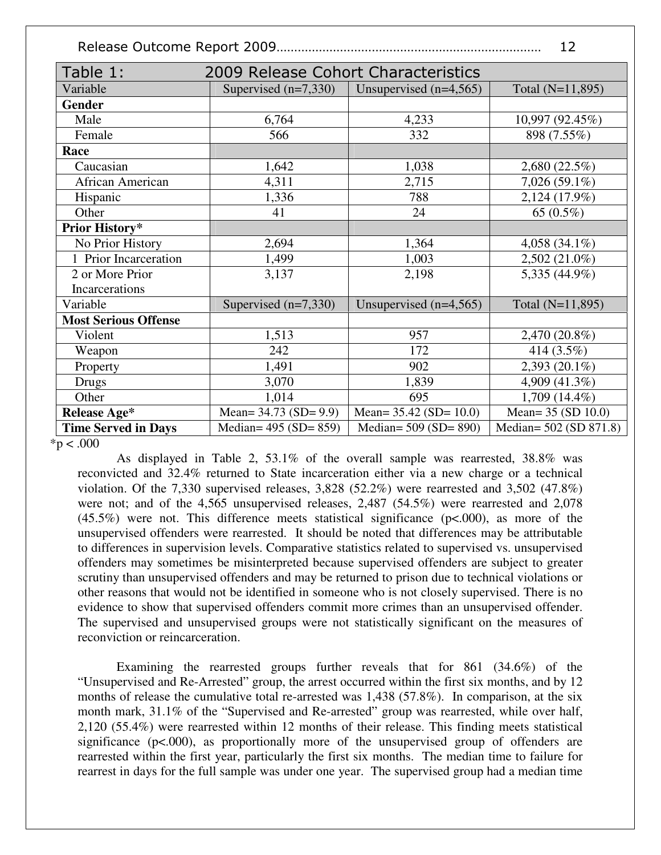|--|--|--|

| Table 1:                    | 2009 Release Cohort Characteristics |                             |                        |  |
|-----------------------------|-------------------------------------|-----------------------------|------------------------|--|
| Variable                    | Supervised $(n=7,330)$              | Unsupervised $(n=4,565)$    |                        |  |
| <b>Gender</b>               |                                     |                             |                        |  |
| Male                        | 6,764                               | 4,233                       | 10,997 (92.45%)        |  |
| Female                      | 566                                 | 332                         | 898 (7.55%)            |  |
| Race                        |                                     |                             |                        |  |
| Caucasian                   | 1,642                               | 1,038                       | 2,680 (22.5%)          |  |
| African American            | 4,311                               | 2,715                       | $7,026(59.1\%)$        |  |
| Hispanic                    | 1,336                               | 788                         | 2,124 (17.9%)          |  |
| Other                       | 41                                  | 24                          | 65 (0.5%)              |  |
| Prior History*              |                                     |                             |                        |  |
| No Prior History            | 2,694                               | 1,364                       | 4,058 $(34.1\%)$       |  |
| 1 Prior Incarceration       | 1,499                               | 1,003                       | $2,502(21.0\%)$        |  |
| 2 or More Prior             | 3,137                               | 2,198                       | 5,335 (44.9%)          |  |
| Incarcerations              |                                     |                             |                        |  |
| Variable                    | Supervised $(n=7,330)$              | Unsupervised $(n=4,565)$    | Total (N=11,895)       |  |
| <b>Most Serious Offense</b> |                                     |                             |                        |  |
| Violent                     | 1,513                               | 957                         | 2,470 (20.8%)          |  |
| Weapon                      | 242                                 | 172                         | 414 (3.5%)             |  |
| Property                    | 1,491                               | 902                         | 2,393 (20.1%)          |  |
| Drugs                       | 3,070                               | 1,839                       | 4,909 (41.3%)          |  |
| Other                       | 1,014                               | 695                         | $1,709(14.4\%)$        |  |
| Release Age*                | Mean= $34.73$ (SD= $9.9$ )          | Mean= $35.42$ (SD= $10.0$ ) | Mean= 35 (SD 10.0)     |  |
| <b>Time Served in Days</b>  | Median= $495 (SD = 859)$            | Median= 509 (SD= 890)       | Median= 502 (SD 871.8) |  |

 $*p < .000$ 

 As displayed in Table 2, 53.1% of the overall sample was rearrested, 38.8% was reconvicted and 32.4% returned to State incarceration either via a new charge or a technical violation. Of the 7,330 supervised releases, 3,828 (52.2%) were rearrested and 3,502 (47.8%) were not; and of the 4,565 unsupervised releases, 2,487 (54.5%) were rearrested and 2,078  $(45.5\%)$  were not. This difference meets statistical significance ( $p<0.000$ ), as more of the unsupervised offenders were rearrested. It should be noted that differences may be attributable to differences in supervision levels. Comparative statistics related to supervised vs. unsupervised offenders may sometimes be misinterpreted because supervised offenders are subject to greater scrutiny than unsupervised offenders and may be returned to prison due to technical violations or other reasons that would not be identified in someone who is not closely supervised. There is no evidence to show that supervised offenders commit more crimes than an unsupervised offender. The supervised and unsupervised groups were not statistically significant on the measures of reconviction or reincarceration.

Examining the rearrested groups further reveals that for 861 (34.6%) of the "Unsupervised and Re-Arrested" group, the arrest occurred within the first six months, and by 12 months of release the cumulative total re-arrested was 1,438 (57.8%). In comparison, at the six month mark, 31.1% of the "Supervised and Re-arrested" group was rearrested, while over half, 2,120 (55.4%) were rearrested within 12 months of their release. This finding meets statistical significance (p<.000), as proportionally more of the unsupervised group of offenders are rearrested within the first year, particularly the first six months. The median time to failure for rearrest in days for the full sample was under one year. The supervised group had a median time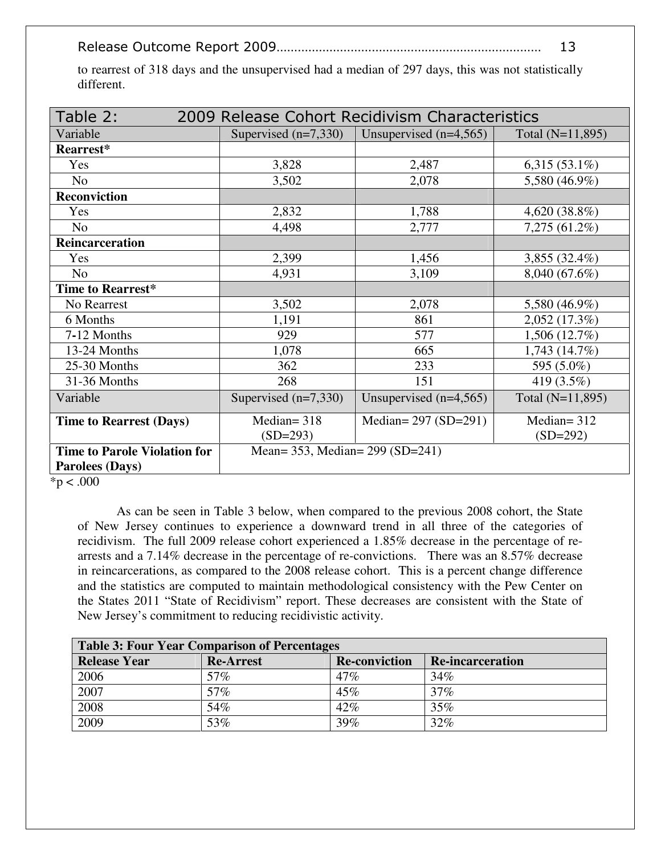|--|--|

to rearrest of 318 days and the unsupervised had a median of 297 days, this was not statistically different.

| Table 2:<br>2009 Release Cohort Recidivism Characteristics |                                 |                          |                  |  |
|------------------------------------------------------------|---------------------------------|--------------------------|------------------|--|
| Variable                                                   | Supervised $(n=7,330)$          | Unsupervised $(n=4,565)$ | Total (N=11,895) |  |
| Rearrest*                                                  |                                 |                          |                  |  |
| Yes                                                        | 3,828                           | 2,487                    | $6,315(53.1\%)$  |  |
| N <sub>o</sub>                                             | 3,502                           | 2,078                    | 5,580 (46.9%)    |  |
| <b>Reconviction</b>                                        |                                 |                          |                  |  |
| Yes                                                        | 2,832                           | 1,788                    | 4,620 (38.8%)    |  |
| N <sub>o</sub>                                             | 4,498                           | 2,777                    | 7,275 (61.2%)    |  |
| Reincarceration                                            |                                 |                          |                  |  |
| Yes                                                        | 2,399                           | 1,456                    | 3,855 (32.4%)    |  |
| N <sub>o</sub>                                             | 4,931                           | 3,109                    | 8,040 (67.6%)    |  |
| Time to Rearrest*                                          |                                 |                          |                  |  |
| No Rearrest                                                | 3,502                           | 2,078                    | 5,580 (46.9%)    |  |
| 6 Months                                                   | 1,191                           | 861                      | 2,052 (17.3%)    |  |
| 7-12 Months                                                | 929                             | 577                      | $1,506(12.7\%)$  |  |
| 13-24 Months                                               | 1,078                           | 665                      | 1,743(14.7%)     |  |
| 25-30 Months                                               | 362                             | 233                      | 595 (5.0%)       |  |
| 31-36 Months                                               | 268                             | 151                      | 419 (3.5%)       |  |
| Variable                                                   | Supervised $(n=7,330)$          | Unsupervised $(n=4,565)$ | Total (N=11,895) |  |
| <b>Time to Rearrest (Days)</b>                             | Median= $318$                   | Median= $297 (SD=291)$   | Median= $312$    |  |
|                                                            | $(SD=293)$                      |                          | $(SD=292)$       |  |
| <b>Time to Parole Violation for</b>                        | Mean= 353, Median= 299 (SD=241) |                          |                  |  |
| <b>Parolees (Days)</b>                                     |                                 |                          |                  |  |

 $*p < .000$ 

 As can be seen in Table 3 below, when compared to the previous 2008 cohort, the State of New Jersey continues to experience a downward trend in all three of the categories of recidivism. The full 2009 release cohort experienced a 1.85% decrease in the percentage of rearrests and a 7.14% decrease in the percentage of re-convictions. There was an 8.57% decrease in reincarcerations, as compared to the 2008 release cohort. This is a percent change difference and the statistics are computed to maintain methodological consistency with the Pew Center on the States 2011 "State of Recidivism" report. These decreases are consistent with the State of New Jersey's commitment to reducing recidivistic activity.

| Table 3: Four Year Comparison of Percentages |                  |                      |                         |
|----------------------------------------------|------------------|----------------------|-------------------------|
| <b>Release Year</b>                          | <b>Re-Arrest</b> | <b>Re-conviction</b> | <b>Re-incarceration</b> |
| 2006                                         | 57%              | $47\%$               | 34%                     |
| 2007                                         | 57%              | 45%                  | 37%                     |
| 2008                                         | 54%              | 42%                  | 35%                     |
| 2009                                         | 53%              | 39%                  | 32%                     |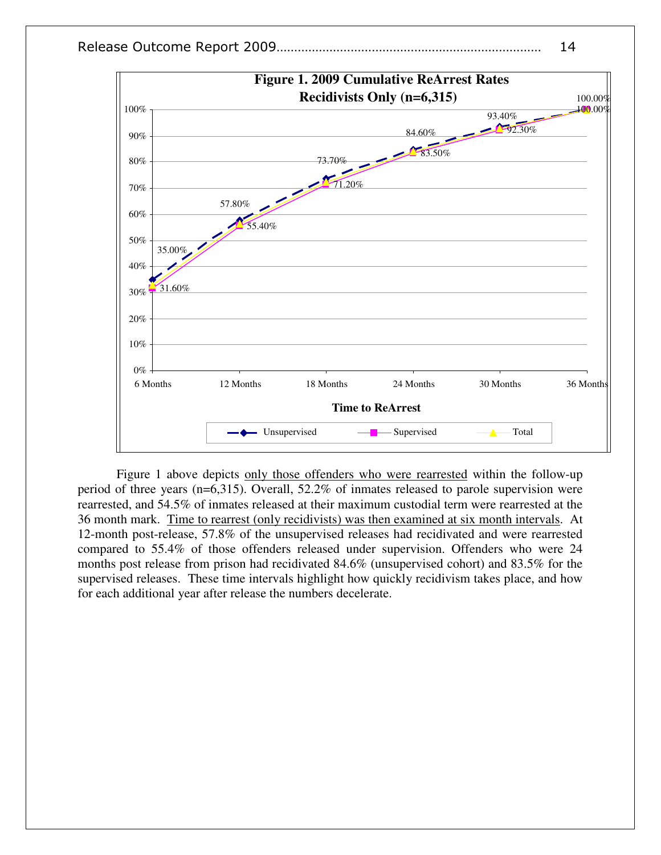



Figure 1 above depicts only those offenders who were rearrested within the follow-up period of three years (n=6,315). Overall, 52.2% of inmates released to parole supervision were rearrested, and 54.5% of inmates released at their maximum custodial term were rearrested at the 36 month mark. Time to rearrest (only recidivists) was then examined at six month intervals. At 12-month post-release, 57.8% of the unsupervised releases had recidivated and were rearrested compared to 55.4% of those offenders released under supervision. Offenders who were 24 months post release from prison had recidivated 84.6% (unsupervised cohort) and 83.5% for the supervised releases. These time intervals highlight how quickly recidivism takes place, and how for each additional year after release the numbers decelerate.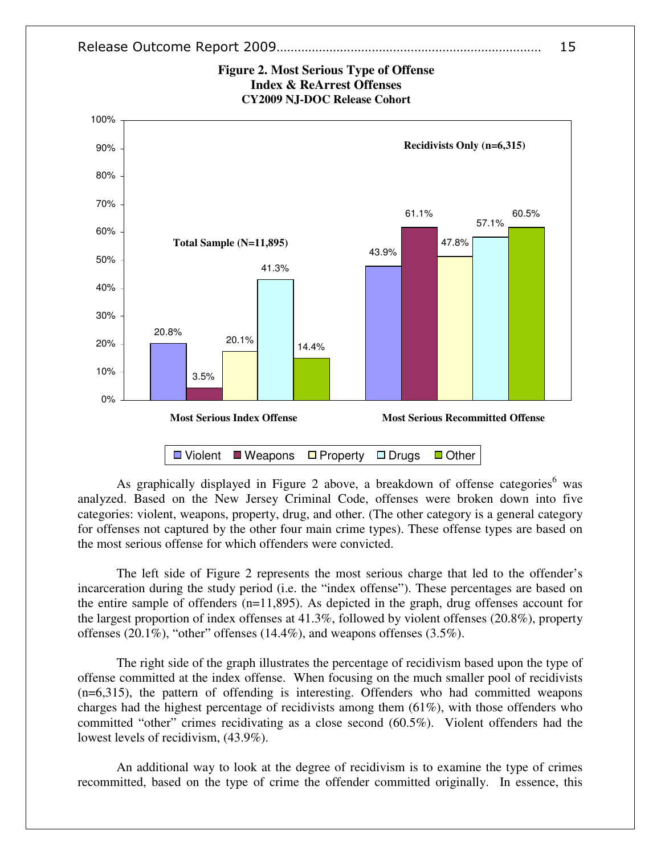



As graphically displayed in Figure 2 above, a breakdown of offense categories<sup>6</sup> was analyzed. Based on the New Jersey Criminal Code, offenses were broken down into five categories: violent, weapons, property, drug, and other. (The other category is a general category for offenses not captured by the other four main crime types). These offense types are based on the most serious offense for which offenders were convicted.

The left side of Figure 2 represents the most serious charge that led to the offender's incarceration during the study period (i.e. the "index offense"). These percentages are based on the entire sample of offenders (n=11,895). As depicted in the graph, drug offenses account for the largest proportion of index offenses at 41.3%, followed by violent offenses (20.8%), property offenses (20.1%), "other" offenses (14.4%), and weapons offenses (3.5%).

The right side of the graph illustrates the percentage of recidivism based upon the type of offense committed at the index offense. When focusing on the much smaller pool of recidivists (n=6,315), the pattern of offending is interesting. Offenders who had committed weapons charges had the highest percentage of recidivists among them  $(61\%)$ , with those offenders who committed "other" crimes recidivating as a close second (60.5%). Violent offenders had the lowest levels of recidivism, (43.9%).

An additional way to look at the degree of recidivism is to examine the type of crimes recommitted, based on the type of crime the offender committed originally. In essence, this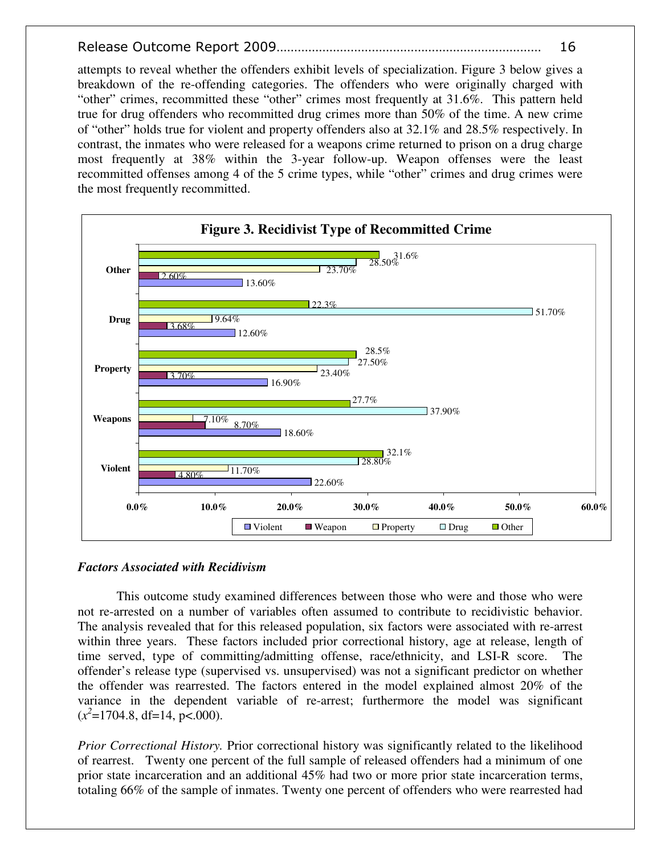attempts to reveal whether the offenders exhibit levels of specialization. Figure 3 below gives a breakdown of the re-offending categories. The offenders who were originally charged with "other" crimes, recommitted these "other" crimes most frequently at 31.6%. This pattern held true for drug offenders who recommitted drug crimes more than 50% of the time. A new crime of "other" holds true for violent and property offenders also at 32.1% and 28.5% respectively. In contrast, the inmates who were released for a weapons crime returned to prison on a drug charge most frequently at 38% within the 3-year follow-up. Weapon offenses were the least recommitted offenses among 4 of the 5 crime types, while "other" crimes and drug crimes were the most frequently recommitted.



#### *Factors Associated with Recidivism*

This outcome study examined differences between those who were and those who were not re-arrested on a number of variables often assumed to contribute to recidivistic behavior. The analysis revealed that for this released population, six factors were associated with re-arrest within three years. These factors included prior correctional history, age at release, length of time served, type of committing/admitting offense, race/ethnicity, and LSI-R score. The offender's release type (supervised vs. unsupervised) was not a significant predictor on whether the offender was rearrested. The factors entered in the model explained almost 20% of the variance in the dependent variable of re-arrest; furthermore the model was significant  $(x^2=1704.8, df=14, p<.000).$ 

*Prior Correctional History.* Prior correctional history was significantly related to the likelihood of rearrest. Twenty one percent of the full sample of released offenders had a minimum of one prior state incarceration and an additional 45% had two or more prior state incarceration terms, totaling 66% of the sample of inmates. Twenty one percent of offenders who were rearrested had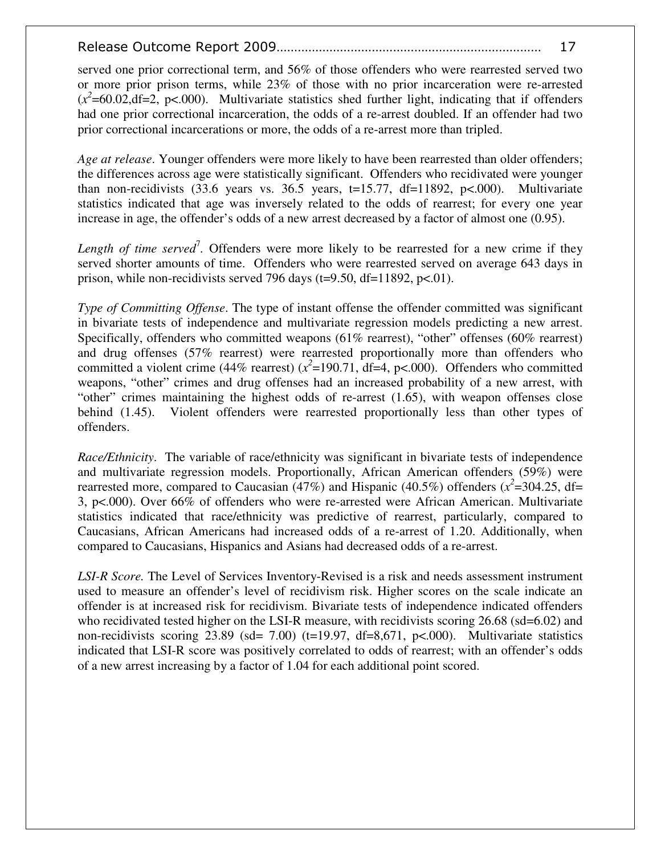served one prior correctional term, and 56% of those offenders who were rearrested served two or more prior prison terms, while 23% of those with no prior incarceration were re-arrested  $(x^2=60.02, df=2, p<.000)$ . Multivariate statistics shed further light, indicating that if offenders had one prior correctional incarceration, the odds of a re-arrest doubled. If an offender had two prior correctional incarcerations or more, the odds of a re-arrest more than tripled.

*Age at release*. Younger offenders were more likely to have been rearrested than older offenders; the differences across age were statistically significant. Offenders who recidivated were younger than non-recidivists  $(33.6 \text{ years} \text{ vs. } 36.5 \text{ years}, t=15.77, df=11892, p<.000).$  Multivariate statistics indicated that age was inversely related to the odds of rearrest; for every one year increase in age, the offender's odds of a new arrest decreased by a factor of almost one (0.95).

Length of time served<sup>7</sup>. Offenders were more likely to be rearrested for a new crime if they served shorter amounts of time. Offenders who were rearrested served on average 643 days in prison, while non-recidivists served 796 days ( $t=9.50$ ,  $df=11892$ ,  $p<.01$ ).

*Type of Committing Offense*. The type of instant offense the offender committed was significant in bivariate tests of independence and multivariate regression models predicting a new arrest. Specifically, offenders who committed weapons (61% rearrest), "other" offenses (60% rearrest) and drug offenses (57% rearrest) were rearrested proportionally more than offenders who committed a violent crime (44% rearrest)  $(x^2=190.71, df=4, p<.000)$ . Offenders who committed weapons, "other" crimes and drug offenses had an increased probability of a new arrest, with "other" crimes maintaining the highest odds of re-arrest (1.65), with weapon offenses close behind (1.45). Violent offenders were rearrested proportionally less than other types of offenders.

*Race/Ethnicity*. The variable of race/ethnicity was significant in bivariate tests of independence and multivariate regression models. Proportionally, African American offenders (59%) were rearrested more, compared to Caucasian (47%) and Hispanic (40.5%) offenders ( $x^2$ =304.25, df= 3, p<.000). Over 66% of offenders who were re-arrested were African American. Multivariate statistics indicated that race/ethnicity was predictive of rearrest, particularly, compared to Caucasians, African Americans had increased odds of a re-arrest of 1.20. Additionally, when compared to Caucasians, Hispanics and Asians had decreased odds of a re-arrest.

*LSI-R Score.* The Level of Services Inventory-Revised is a risk and needs assessment instrument used to measure an offender's level of recidivism risk. Higher scores on the scale indicate an offender is at increased risk for recidivism. Bivariate tests of independence indicated offenders who recidivated tested higher on the LSI-R measure, with recidivists scoring 26.68 (sd=6.02) and non-recidivists scoring  $23.89$  (sd= 7.00) (t=19.97, df=8,671, p<.000). Multivariate statistics indicated that LSI-R score was positively correlated to odds of rearrest; with an offender's odds of a new arrest increasing by a factor of 1.04 for each additional point scored.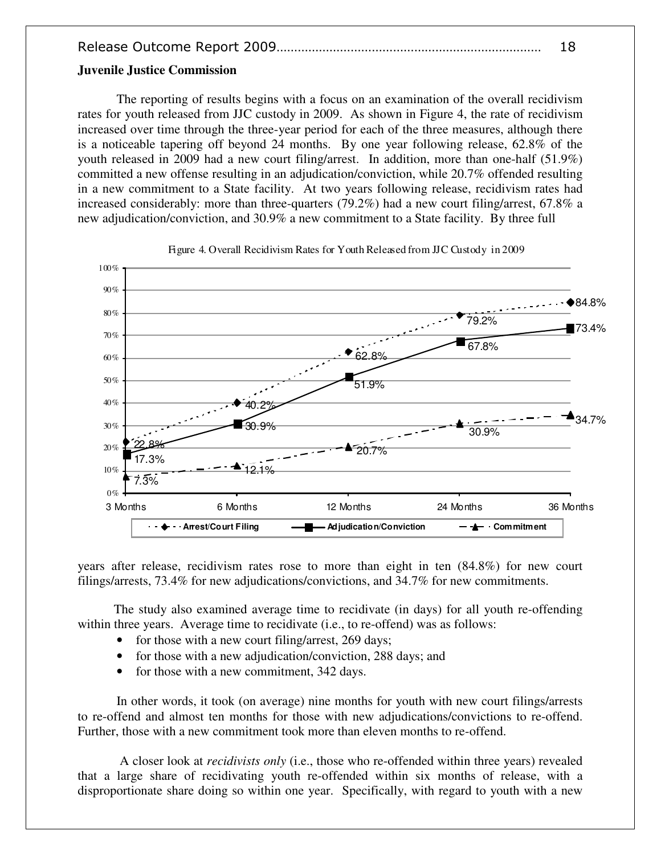#### **Juvenile Justice Commission**

The reporting of results begins with a focus on an examination of the overall recidivism rates for youth released from JJC custody in 2009. As shown in Figure 4, the rate of recidivism increased over time through the three-year period for each of the three measures, although there is a noticeable tapering off beyond 24 months. By one year following release, 62.8% of the youth released in 2009 had a new court filing/arrest. In addition, more than one-half (51.9%) committed a new offense resulting in an adjudication/conviction, while 20.7% offended resulting in a new commitment to a State facility. At two years following release, recidivism rates had increased considerably: more than three-quarters (79.2%) had a new court filing/arrest, 67.8% a new adjudication/conviction, and 30.9% a new commitment to a State facility. By three full



Figure 4. Overall Recidivism Rates for Youth Released from JJC Custody in 2009

years after release, recidivism rates rose to more than eight in ten (84.8%) for new court filings/arrests, 73.4% for new adjudications/convictions, and 34.7% for new commitments.

 The study also examined average time to recidivate (in days) for all youth re-offending within three years. Average time to recidivate (i.e., to re-offend) was as follows:

- for those with a new court filing/arrest, 269 days;
- for those with a new adjudication/conviction, 288 days; and
- for those with a new commitment, 342 days.

In other words, it took (on average) nine months for youth with new court filings/arrests to re-offend and almost ten months for those with new adjudications/convictions to re-offend. Further, those with a new commitment took more than eleven months to re-offend.

 A closer look at *recidivists only* (i.e., those who re-offended within three years) revealed that a large share of recidivating youth re-offended within six months of release, with a disproportionate share doing so within one year. Specifically, with regard to youth with a new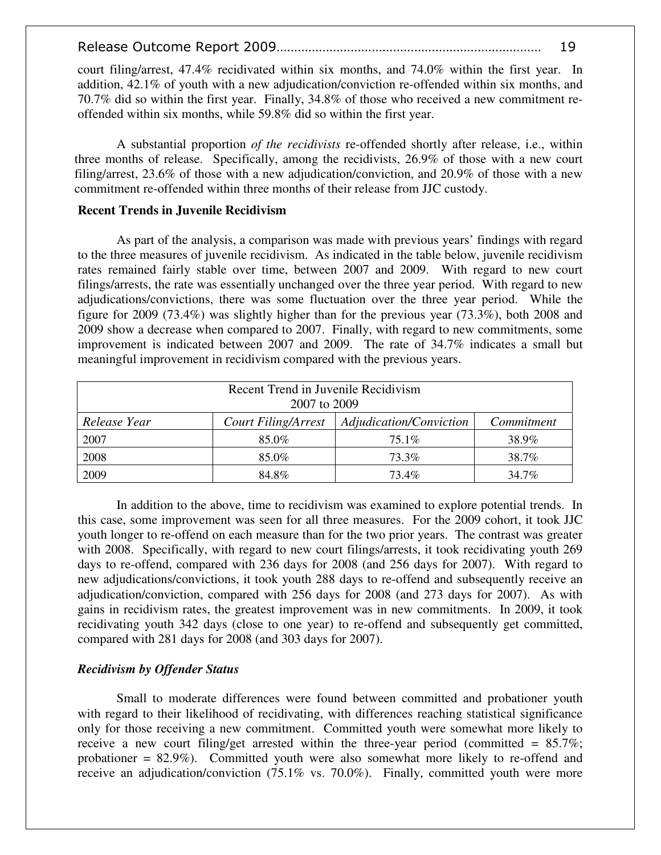court filing/arrest, 47.4% recidivated within six months, and 74.0% within the first year. In addition, 42.1% of youth with a new adjudication/conviction re-offended within six months, and 70.7% did so within the first year. Finally, 34.8% of those who received a new commitment reoffended within six months, while 59.8% did so within the first year.

 A substantial proportion *of the recidivists* re-offended shortly after release, i.e., within three months of release. Specifically, among the recidivists, 26.9% of those with a new court filing/arrest, 23.6% of those with a new adjudication/conviction, and 20.9% of those with a new commitment re-offended within three months of their release from JJC custody.

#### **Recent Trends in Juvenile Recidivism**

 As part of the analysis, a comparison was made with previous years' findings with regard to the three measures of juvenile recidivism. As indicated in the table below, juvenile recidivism rates remained fairly stable over time, between 2007 and 2009. With regard to new court filings/arrests, the rate was essentially unchanged over the three year period. With regard to new adjudications/convictions, there was some fluctuation over the three year period. While the figure for 2009 (73.4%) was slightly higher than for the previous year (73.3%), both 2008 and 2009 show a decrease when compared to 2007. Finally, with regard to new commitments, some improvement is indicated between 2007 and 2009. The rate of 34.7% indicates a small but meaningful improvement in recidivism compared with the previous years.

| Recent Trend in Juvenile Recidivism<br>2007 to 2009 |                            |                         |            |
|-----------------------------------------------------|----------------------------|-------------------------|------------|
| Release Year                                        | <b>Court Filing/Arrest</b> | Adjudication/Conviction | Commitment |
| 2007                                                | 85.0%                      | $75.1\%$                | 38.9%      |
| 2008                                                | 85.0%                      | 73.3%                   | 38.7%      |
| 2009                                                | 84.8%                      | 73.4%                   | 34.7%      |

 In addition to the above, time to recidivism was examined to explore potential trends. In this case, some improvement was seen for all three measures. For the 2009 cohort, it took JJC youth longer to re-offend on each measure than for the two prior years. The contrast was greater with 2008. Specifically, with regard to new court filings/arrests, it took recidivating youth 269 days to re-offend, compared with 236 days for 2008 (and 256 days for 2007). With regard to new adjudications/convictions, it took youth 288 days to re-offend and subsequently receive an adjudication/conviction, compared with 256 days for 2008 (and 273 days for 2007). As with gains in recidivism rates, the greatest improvement was in new commitments. In 2009, it took recidivating youth 342 days (close to one year) to re-offend and subsequently get committed, compared with 281 days for 2008 (and 303 days for 2007).

#### *Recidivism by Offender Status*

Small to moderate differences were found between committed and probationer youth with regard to their likelihood of recidivating, with differences reaching statistical significance only for those receiving a new commitment. Committed youth were somewhat more likely to receive a new court filing/get arrested within the three-year period (committed =  $85.7\%$ ; probationer = 82.9%). Committed youth were also somewhat more likely to re-offend and receive an adjudication/conviction (75.1% vs. 70.0%). Finally, committed youth were more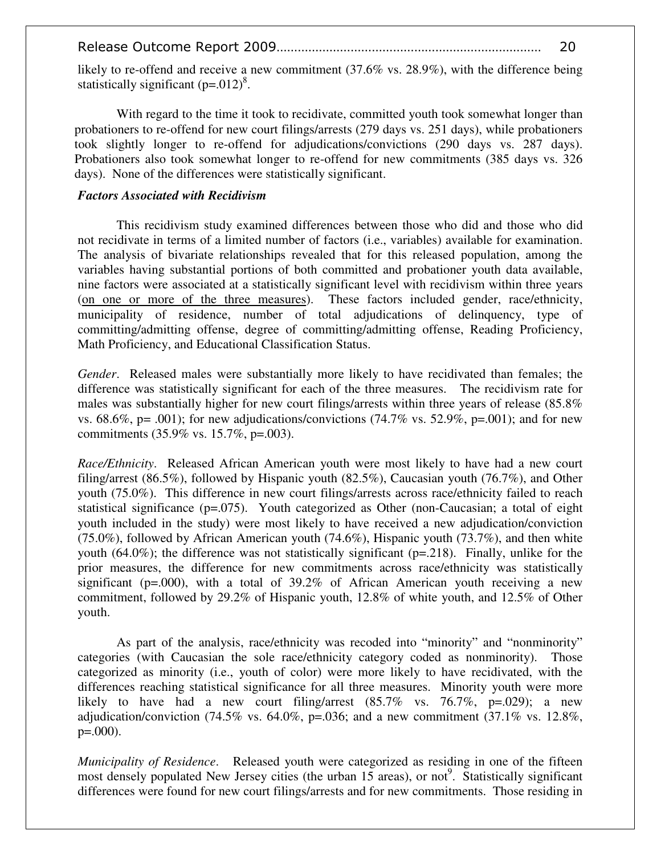likely to re-offend and receive a new commitment (37.6% vs. 28.9%), with the difference being statistically significant  $(p=.012)^8$ .

With regard to the time it took to recidivate, committed youth took somewhat longer than probationers to re-offend for new court filings/arrests (279 days vs. 251 days), while probationers took slightly longer to re-offend for adjudications/convictions (290 days vs. 287 days). Probationers also took somewhat longer to re-offend for new commitments (385 days vs. 326 days). None of the differences were statistically significant.

### *Factors Associated with Recidivism*

This recidivism study examined differences between those who did and those who did not recidivate in terms of a limited number of factors (i.e., variables) available for examination. The analysis of bivariate relationships revealed that for this released population, among the variables having substantial portions of both committed and probationer youth data available, nine factors were associated at a statistically significant level with recidivism within three years (on one or more of the three measures). These factors included gender, race/ethnicity, municipality of residence, number of total adjudications of delinquency, type of committing/admitting offense, degree of committing/admitting offense, Reading Proficiency, Math Proficiency, and Educational Classification Status.

*Gender*. Released males were substantially more likely to have recidivated than females; the difference was statistically significant for each of the three measures. The recidivism rate for males was substantially higher for new court filings/arrests within three years of release (85.8% vs. 68.6%, p= .001); for new adjudications/convictions (74.7% vs. 52.9%, p=.001); and for new commitments (35.9% vs. 15.7%, p=.003).

*Race/Ethnicity*. Released African American youth were most likely to have had a new court filing/arrest (86.5%), followed by Hispanic youth (82.5%), Caucasian youth (76.7%), and Other youth (75.0%). This difference in new court filings/arrests across race/ethnicity failed to reach statistical significance (p=.075). Youth categorized as Other (non-Caucasian; a total of eight youth included in the study) were most likely to have received a new adjudication/conviction (75.0%), followed by African American youth (74.6%), Hispanic youth (73.7%), and then white youth (64.0%); the difference was not statistically significant (p=.218). Finally, unlike for the prior measures, the difference for new commitments across race/ethnicity was statistically significant ( $p=0.00$ ), with a total of 39.2% of African American youth receiving a new commitment, followed by 29.2% of Hispanic youth, 12.8% of white youth, and 12.5% of Other youth.

As part of the analysis, race/ethnicity was recoded into "minority" and "nonminority" categories (with Caucasian the sole race/ethnicity category coded as nonminority). Those categorized as minority (i.e., youth of color) were more likely to have recidivated, with the differences reaching statistical significance for all three measures. Minority youth were more likely to have had a new court filing/arrest  $(85.7\% \text{ vs. } 76.7\% \text{, } p=.029)$ ; a new adjudication/conviction (74.5% vs. 64.0%, p=.036; and a new commitment (37.1% vs. 12.8%,  $p=.000$ ).

*Municipality of Residence*. Released youth were categorized as residing in one of the fifteen most densely populated New Jersey cities (the urban 15 areas), or not<sup>9</sup>. Statistically significant differences were found for new court filings/arrests and for new commitments. Those residing in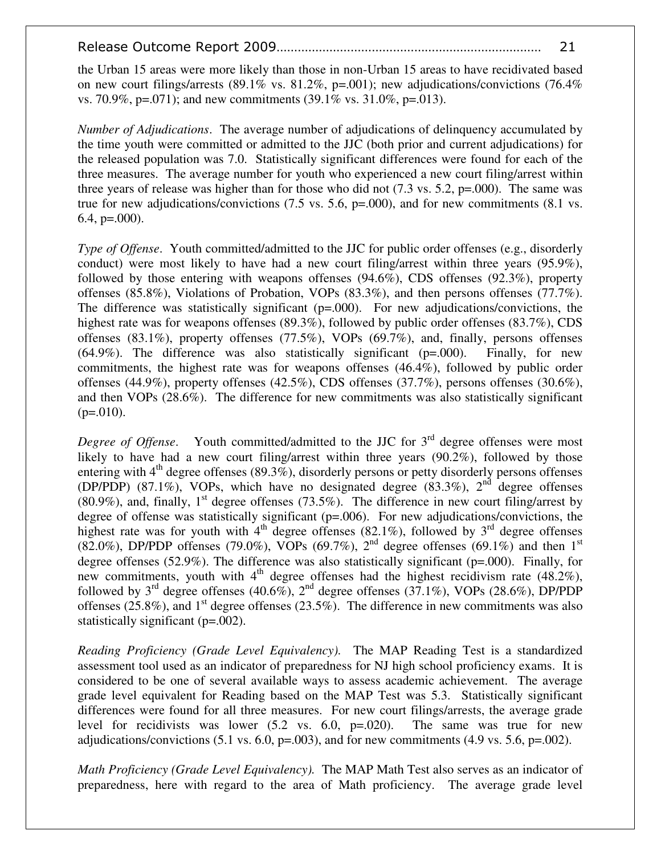the Urban 15 areas were more likely than those in non-Urban 15 areas to have recidivated based on new court filings/arrests (89.1% vs. 81.2%, p=.001); new adjudications/convictions (76.4%) vs. 70.9%, p=.071); and new commitments  $(39.1\% \text{ vs. } 31.0\%, \text{ p} = .013)$ .

*Number of Adjudications*. The average number of adjudications of delinquency accumulated by the time youth were committed or admitted to the JJC (both prior and current adjudications) for the released population was 7.0. Statistically significant differences were found for each of the three measures. The average number for youth who experienced a new court filing/arrest within three years of release was higher than for those who did not  $(7.3 \text{ vs. } 5.2, \text{ p} = .000)$ . The same was true for new adjudications/convictions (7.5 vs. 5.6, p=.000), and for new commitments (8.1 vs. 6.4,  $p=.000$ .

*Type of Offense.* Youth committed/admitted to the JJC for public order offenses (e.g., disorderly conduct) were most likely to have had a new court filing/arrest within three years (95.9%), followed by those entering with weapons offenses (94.6%), CDS offenses (92.3%), property offenses (85.8%), Violations of Probation, VOPs (83.3%), and then persons offenses (77.7%). The difference was statistically significant  $(p=000)$ . For new adjudications/convictions, the highest rate was for weapons offenses (89.3%), followed by public order offenses (83.7%), CDS offenses (83.1%), property offenses (77.5%), VOPs (69.7%), and, finally, persons offenses  $(64.9\%)$ . The difference was also statistically significant ( $p=0.000$ ). Finally, for new commitments, the highest rate was for weapons offenses (46.4%), followed by public order offenses (44.9%), property offenses (42.5%), CDS offenses (37.7%), persons offenses (30.6%), and then VOPs (28.6%). The difference for new commitments was also statistically significant  $(p=.010)$ .

*Degree of Offense*. Youth committed/admitted to the JJC for 3<sup>rd</sup> degree offenses were most likely to have had a new court filing/arrest within three years (90.2%), followed by those entering with  $4<sup>th</sup>$  degree offenses (89.3%), disorderly persons or petty disorderly persons offenses (DP/PDP) (87.1%), VOPs, which have no designated degree (83.3%),  $2<sup>nd</sup>$  degree offenses (80.9%), and, finally,  $1<sup>st</sup>$  degree offenses (73.5%). The difference in new court filing/arrest by degree of offense was statistically significant (p=.006). For new adjudications/convictions, the highest rate was for youth with  $4<sup>th</sup>$  degree offenses (82.1%), followed by 3<sup>rd</sup> degree offenses (82.0%), DP/PDP offenses (79.0%), VOPs (69.7%),  $2<sup>nd</sup>$  degree offenses (69.1%) and then 1<sup>st</sup> degree offenses (52.9%). The difference was also statistically significant (p=.000). Finally, for new commitments, youth with  $4<sup>th</sup>$  degree offenses had the highest recidivism rate (48.2%), followed by  $3^{rd}$  degree offenses (40.6%),  $2^{nd}$  degree offenses (37.1%), VOPs (28.6%), DP/PDP offenses (25.8%), and  $1<sup>st</sup>$  degree offenses (23.5%). The difference in new commitments was also statistically significant (p=.002).

*Reading Proficiency (Grade Level Equivalency).* The MAP Reading Test is a standardized assessment tool used as an indicator of preparedness for NJ high school proficiency exams. It is considered to be one of several available ways to assess academic achievement. The average grade level equivalent for Reading based on the MAP Test was 5.3. Statistically significant differences were found for all three measures. For new court filings/arrests, the average grade level for recidivists was lower  $(5.2 \text{ vs. } 6.0, \text{ p} = 0.020)$ . The same was true for new adjudications/convictions (5.1 vs. 6.0,  $p=0.003$ ), and for new commitments (4.9 vs. 5.6,  $p=.002$ ).

*Math Proficiency (Grade Level Equivalency).* The MAP Math Test also serves as an indicator of preparedness, here with regard to the area of Math proficiency. The average grade level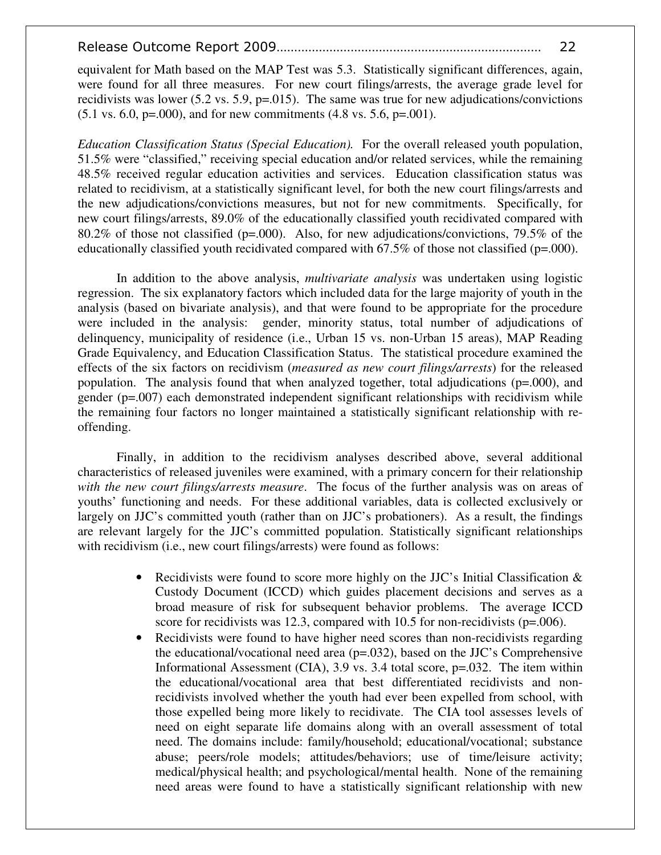equivalent for Math based on the MAP Test was 5.3. Statistically significant differences, again, were found for all three measures. For new court filings/arrests, the average grade level for recidivists was lower (5.2 vs. 5.9,  $p=0.015$ ). The same was true for new adjudications/convictions  $(5.1 \text{ vs. } 6.0, \text{ p} = 0.000)$ , and for new commitments  $(4.8 \text{ vs. } 5.6, \text{ p} = 0.001)$ .

*Education Classification Status (Special Education).* For the overall released youth population, 51.5% were "classified," receiving special education and/or related services, while the remaining 48.5% received regular education activities and services. Education classification status was related to recidivism, at a statistically significant level, for both the new court filings/arrests and the new adjudications/convictions measures, but not for new commitments. Specifically, for new court filings/arrests, 89.0% of the educationally classified youth recidivated compared with 80.2% of those not classified ( $p=0.000$ ). Also, for new adjudications/convictions, 79.5% of the educationally classified youth recidivated compared with 67.5% of those not classified (p=.000).

In addition to the above analysis, *multivariate analysis* was undertaken using logistic regression. The six explanatory factors which included data for the large majority of youth in the analysis (based on bivariate analysis), and that were found to be appropriate for the procedure were included in the analysis: gender, minority status, total number of adjudications of delinquency, municipality of residence (i.e., Urban 15 vs. non-Urban 15 areas), MAP Reading Grade Equivalency, and Education Classification Status. The statistical procedure examined the effects of the six factors on recidivism (*measured as new court filings/arrests*) for the released population. The analysis found that when analyzed together, total adjudications (p=.000), and gender  $(p=007)$  each demonstrated independent significant relationships with recidivism while the remaining four factors no longer maintained a statistically significant relationship with reoffending.

Finally, in addition to the recidivism analyses described above, several additional characteristics of released juveniles were examined, with a primary concern for their relationship *with the new court filings/arrests measure*. The focus of the further analysis was on areas of youths' functioning and needs. For these additional variables, data is collected exclusively or largely on JJC's committed youth (rather than on JJC's probationers). As a result, the findings are relevant largely for the JJC's committed population. Statistically significant relationships with recidivism (i.e., new court filings/arrests) were found as follows:

- Recidivists were found to score more highly on the JJC's Initial Classification & Custody Document (ICCD) which guides placement decisions and serves as a broad measure of risk for subsequent behavior problems. The average ICCD score for recidivists was 12.3, compared with 10.5 for non-recidivists (p=.006).
- Recidivists were found to have higher need scores than non-recidivists regarding the educational/vocational need area  $(p=.032)$ , based on the JJC's Comprehensive Informational Assessment (CIA), 3.9 vs. 3.4 total score,  $p=0.032$ . The item within the educational/vocational area that best differentiated recidivists and nonrecidivists involved whether the youth had ever been expelled from school, with those expelled being more likely to recidivate. The CIA tool assesses levels of need on eight separate life domains along with an overall assessment of total need. The domains include: family/household; educational/vocational; substance abuse; peers/role models; attitudes/behaviors; use of time/leisure activity; medical/physical health; and psychological/mental health. None of the remaining need areas were found to have a statistically significant relationship with new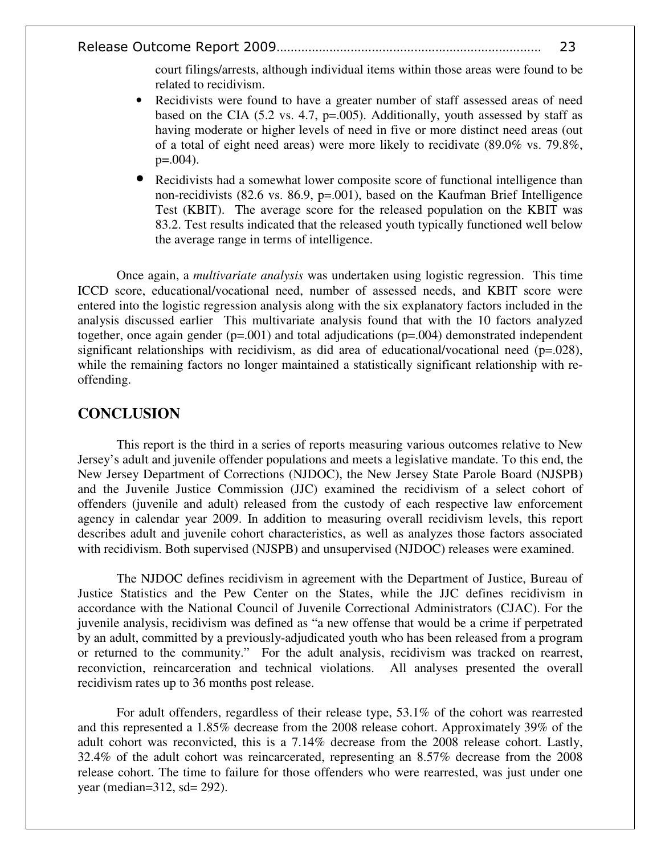court filings/arrests, although individual items within those areas were found to be related to recidivism.

- Recidivists were found to have a greater number of staff assessed areas of need based on the CIA (5.2 vs. 4.7, p=.005). Additionally, youth assessed by staff as having moderate or higher levels of need in five or more distinct need areas (out of a total of eight need areas) were more likely to recidivate  $(89.0\% \text{ vs. } 79.8\%$ ,  $p=.004$ ).
- Recidivists had a somewhat lower composite score of functional intelligence than non-recidivists (82.6 vs. 86.9, p=.001), based on the Kaufman Brief Intelligence Test (KBIT). The average score for the released population on the KBIT was 83.2. Test results indicated that the released youth typically functioned well below the average range in terms of intelligence.

Once again, a *multivariate analysis* was undertaken using logistic regression. This time ICCD score, educational/vocational need, number of assessed needs, and KBIT score were entered into the logistic regression analysis along with the six explanatory factors included in the analysis discussed earlier This multivariate analysis found that with the 10 factors analyzed together, once again gender  $(p=.001)$  and total adjudications  $(p=.004)$  demonstrated independent significant relationships with recidivism, as did area of educational/vocational need (p=.028), while the remaining factors no longer maintained a statistically significant relationship with reoffending.

#### **CONCLUSION**

This report is the third in a series of reports measuring various outcomes relative to New Jersey's adult and juvenile offender populations and meets a legislative mandate. To this end, the New Jersey Department of Corrections (NJDOC), the New Jersey State Parole Board (NJSPB) and the Juvenile Justice Commission (JJC) examined the recidivism of a select cohort of offenders (juvenile and adult) released from the custody of each respective law enforcement agency in calendar year 2009. In addition to measuring overall recidivism levels, this report describes adult and juvenile cohort characteristics, as well as analyzes those factors associated with recidivism. Both supervised (NJSPB) and unsupervised (NJDOC) releases were examined.

The NJDOC defines recidivism in agreement with the Department of Justice, Bureau of Justice Statistics and the Pew Center on the States, while the JJC defines recidivism in accordance with the National Council of Juvenile Correctional Administrators (CJAC). For the juvenile analysis, recidivism was defined as "a new offense that would be a crime if perpetrated by an adult, committed by a previously-adjudicated youth who has been released from a program or returned to the community." For the adult analysis, recidivism was tracked on rearrest, reconviction, reincarceration and technical violations. All analyses presented the overall recidivism rates up to 36 months post release.

For adult offenders, regardless of their release type, 53.1% of the cohort was rearrested and this represented a 1.85% decrease from the 2008 release cohort. Approximately 39% of the adult cohort was reconvicted, this is a 7.14% decrease from the 2008 release cohort. Lastly, 32.4% of the adult cohort was reincarcerated, representing an 8.57% decrease from the 2008 release cohort. The time to failure for those offenders who were rearrested, was just under one year (median=312, sd= 292).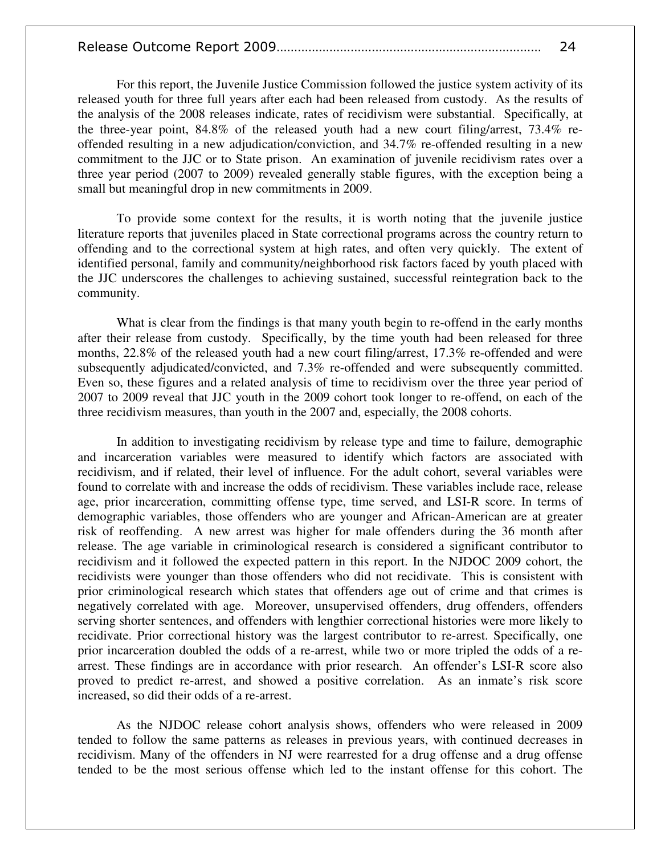For this report, the Juvenile Justice Commission followed the justice system activity of its released youth for three full years after each had been released from custody. As the results of the analysis of the 2008 releases indicate, rates of recidivism were substantial. Specifically, at the three-year point, 84.8% of the released youth had a new court filing/arrest, 73.4% reoffended resulting in a new adjudication/conviction, and 34.7% re-offended resulting in a new commitment to the JJC or to State prison. An examination of juvenile recidivism rates over a three year period (2007 to 2009) revealed generally stable figures, with the exception being a small but meaningful drop in new commitments in 2009.

 To provide some context for the results, it is worth noting that the juvenile justice literature reports that juveniles placed in State correctional programs across the country return to offending and to the correctional system at high rates, and often very quickly. The extent of identified personal, family and community/neighborhood risk factors faced by youth placed with the JJC underscores the challenges to achieving sustained, successful reintegration back to the community.

 What is clear from the findings is that many youth begin to re-offend in the early months after their release from custody. Specifically, by the time youth had been released for three months, 22.8% of the released youth had a new court filing/arrest, 17.3% re-offended and were subsequently adjudicated/convicted, and 7.3% re-offended and were subsequently committed. Even so, these figures and a related analysis of time to recidivism over the three year period of 2007 to 2009 reveal that JJC youth in the 2009 cohort took longer to re-offend, on each of the three recidivism measures, than youth in the 2007 and, especially, the 2008 cohorts.

In addition to investigating recidivism by release type and time to failure, demographic and incarceration variables were measured to identify which factors are associated with recidivism, and if related, their level of influence. For the adult cohort, several variables were found to correlate with and increase the odds of recidivism. These variables include race, release age, prior incarceration, committing offense type, time served, and LSI-R score. In terms of demographic variables, those offenders who are younger and African-American are at greater risk of reoffending. A new arrest was higher for male offenders during the 36 month after release. The age variable in criminological research is considered a significant contributor to recidivism and it followed the expected pattern in this report. In the NJDOC 2009 cohort, the recidivists were younger than those offenders who did not recidivate. This is consistent with prior criminological research which states that offenders age out of crime and that crimes is negatively correlated with age. Moreover, unsupervised offenders, drug offenders, offenders serving shorter sentences, and offenders with lengthier correctional histories were more likely to recidivate. Prior correctional history was the largest contributor to re-arrest. Specifically, one prior incarceration doubled the odds of a re-arrest, while two or more tripled the odds of a rearrest. These findings are in accordance with prior research. An offender's LSI-R score also proved to predict re-arrest, and showed a positive correlation. As an inmate's risk score increased, so did their odds of a re-arrest.

As the NJDOC release cohort analysis shows, offenders who were released in 2009 tended to follow the same patterns as releases in previous years, with continued decreases in recidivism. Many of the offenders in NJ were rearrested for a drug offense and a drug offense tended to be the most serious offense which led to the instant offense for this cohort. The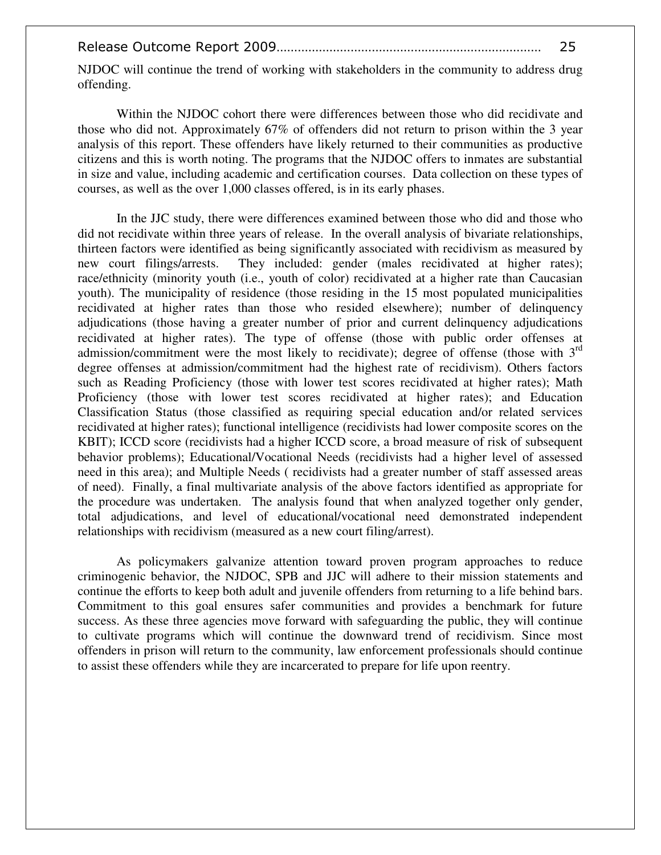|--|--|

NJDOC will continue the trend of working with stakeholders in the community to address drug offending.

Within the NJDOC cohort there were differences between those who did recidivate and those who did not. Approximately 67% of offenders did not return to prison within the 3 year analysis of this report. These offenders have likely returned to their communities as productive citizens and this is worth noting. The programs that the NJDOC offers to inmates are substantial in size and value, including academic and certification courses. Data collection on these types of courses, as well as the over 1,000 classes offered, is in its early phases.

In the JJC study, there were differences examined between those who did and those who did not recidivate within three years of release. In the overall analysis of bivariate relationships, thirteen factors were identified as being significantly associated with recidivism as measured by new court filings/arrests. They included: gender (males recidivated at higher rates); race/ethnicity (minority youth (i.e., youth of color) recidivated at a higher rate than Caucasian youth). The municipality of residence (those residing in the 15 most populated municipalities recidivated at higher rates than those who resided elsewhere); number of delinquency adjudications (those having a greater number of prior and current delinquency adjudications recidivated at higher rates). The type of offense (those with public order offenses at admission/commitment were the most likely to recidivate); degree of offense (those with  $3<sup>rd</sup>$ degree offenses at admission/commitment had the highest rate of recidivism). Others factors such as Reading Proficiency (those with lower test scores recidivated at higher rates); Math Proficiency (those with lower test scores recidivated at higher rates); and Education Classification Status (those classified as requiring special education and/or related services recidivated at higher rates); functional intelligence (recidivists had lower composite scores on the KBIT); ICCD score (recidivists had a higher ICCD score, a broad measure of risk of subsequent behavior problems); Educational/Vocational Needs (recidivists had a higher level of assessed need in this area); and Multiple Needs ( recidivists had a greater number of staff assessed areas of need). Finally, a final multivariate analysis of the above factors identified as appropriate for the procedure was undertaken. The analysis found that when analyzed together only gender, total adjudications, and level of educational/vocational need demonstrated independent relationships with recidivism (measured as a new court filing/arrest).

 As policymakers galvanize attention toward proven program approaches to reduce criminogenic behavior, the NJDOC, SPB and JJC will adhere to their mission statements and continue the efforts to keep both adult and juvenile offenders from returning to a life behind bars. Commitment to this goal ensures safer communities and provides a benchmark for future success. As these three agencies move forward with safeguarding the public, they will continue to cultivate programs which will continue the downward trend of recidivism. Since most offenders in prison will return to the community, law enforcement professionals should continue to assist these offenders while they are incarcerated to prepare for life upon reentry.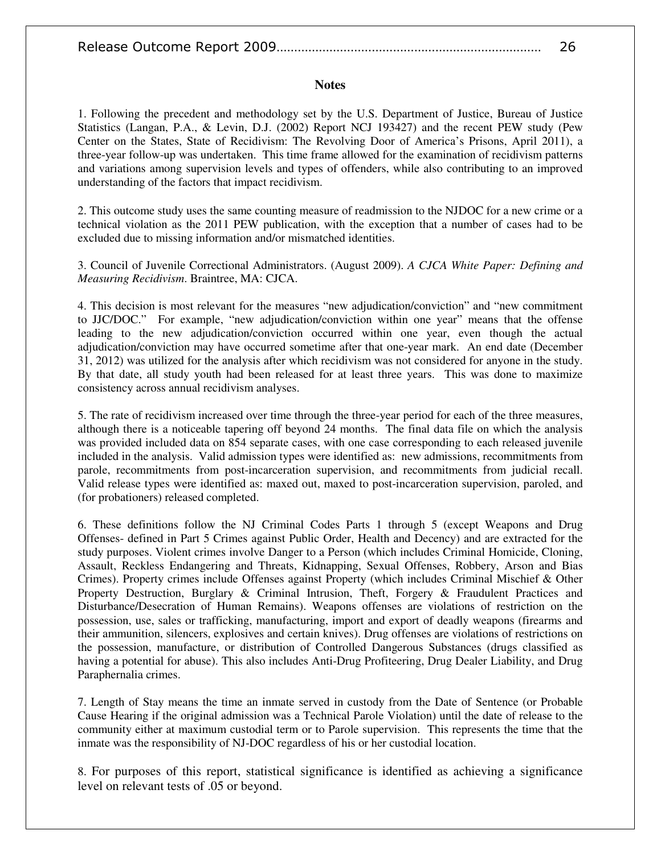#### **Notes**

1. Following the precedent and methodology set by the U.S. Department of Justice, Bureau of Justice Statistics (Langan, P.A., & Levin, D.J. (2002) Report NCJ 193427) and the recent PEW study (Pew Center on the States, State of Recidivism: The Revolving Door of America's Prisons, April 2011), a three-year follow-up was undertaken. This time frame allowed for the examination of recidivism patterns and variations among supervision levels and types of offenders, while also contributing to an improved understanding of the factors that impact recidivism.

2. This outcome study uses the same counting measure of readmission to the NJDOC for a new crime or a technical violation as the 2011 PEW publication, with the exception that a number of cases had to be excluded due to missing information and/or mismatched identities.

3. Council of Juvenile Correctional Administrators. (August 2009). *A CJCA White Paper: Defining and Measuring Recidivism*. Braintree, MA: CJCA.

4. This decision is most relevant for the measures "new adjudication/conviction" and "new commitment to JJC/DOC." For example, "new adjudication/conviction within one year" means that the offense leading to the new adjudication/conviction occurred within one year, even though the actual adjudication/conviction may have occurred sometime after that one-year mark. An end date (December 31, 2012) was utilized for the analysis after which recidivism was not considered for anyone in the study. By that date, all study youth had been released for at least three years. This was done to maximize consistency across annual recidivism analyses.

5. The rate of recidivism increased over time through the three-year period for each of the three measures, although there is a noticeable tapering off beyond 24 months. The final data file on which the analysis was provided included data on 854 separate cases, with one case corresponding to each released juvenile included in the analysis. Valid admission types were identified as: new admissions, recommitments from parole, recommitments from post-incarceration supervision, and recommitments from judicial recall. Valid release types were identified as: maxed out, maxed to post-incarceration supervision, paroled, and (for probationers) released completed.

6. These definitions follow the NJ Criminal Codes Parts 1 through 5 (except Weapons and Drug Offenses- defined in Part 5 Crimes against Public Order, Health and Decency) and are extracted for the study purposes. Violent crimes involve Danger to a Person (which includes Criminal Homicide, Cloning, Assault, Reckless Endangering and Threats, Kidnapping, Sexual Offenses, Robbery, Arson and Bias Crimes). Property crimes include Offenses against Property (which includes Criminal Mischief & Other Property Destruction, Burglary & Criminal Intrusion, Theft, Forgery & Fraudulent Practices and Disturbance/Desecration of Human Remains). Weapons offenses are violations of restriction on the possession, use, sales or trafficking, manufacturing, import and export of deadly weapons (firearms and their ammunition, silencers, explosives and certain knives). Drug offenses are violations of restrictions on the possession, manufacture, or distribution of Controlled Dangerous Substances (drugs classified as having a potential for abuse). This also includes Anti-Drug Profiteering, Drug Dealer Liability, and Drug Paraphernalia crimes.

7. Length of Stay means the time an inmate served in custody from the Date of Sentence (or Probable Cause Hearing if the original admission was a Technical Parole Violation) until the date of release to the community either at maximum custodial term or to Parole supervision. This represents the time that the inmate was the responsibility of NJ-DOC regardless of his or her custodial location.

8. For purposes of this report, statistical significance is identified as achieving a significance level on relevant tests of .05 or beyond.